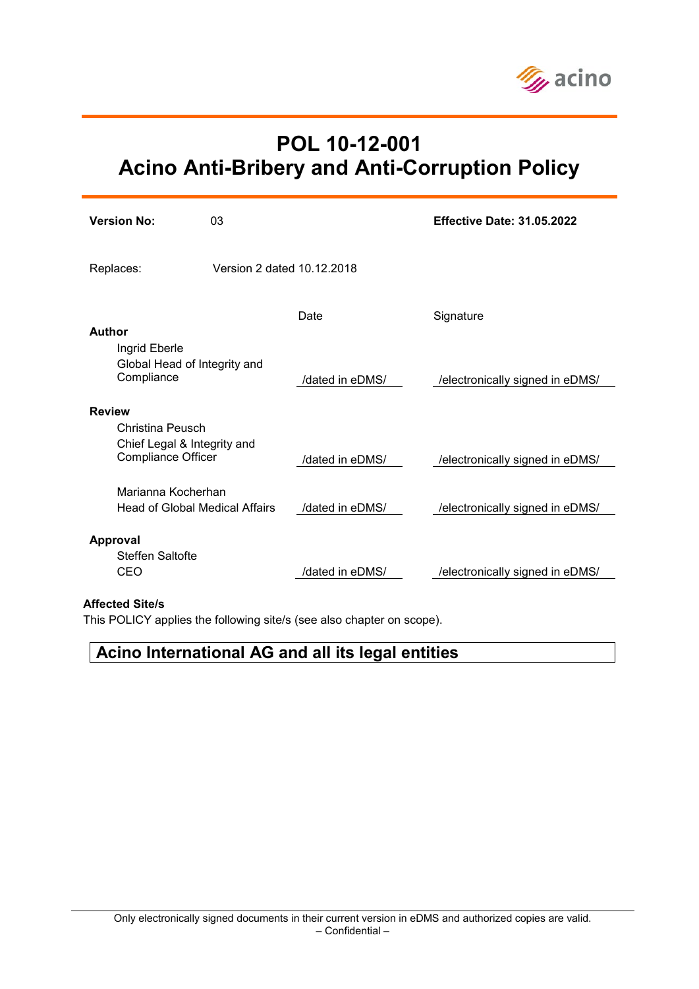

# **POL 10-12-001 Acino Anti-Bribery and Anti-Corruption Policy**

| <b>Version No:</b>                                                           | 0 <sub>3</sub>             |                 | <b>Effective Date: 31.05.2022</b> |
|------------------------------------------------------------------------------|----------------------------|-----------------|-----------------------------------|
| Replaces:                                                                    | Version 2 dated 10.12.2018 |                 |                                   |
|                                                                              |                            | Date            | Signature                         |
| Author<br>Ingrid Eberle<br>Global Head of Integrity and<br>Compliance        |                            | /dated in eDMS/ | /electronically signed in eDMS/   |
| <b>Review</b>                                                                |                            |                 |                                   |
| Christina Peusch<br>Chief Legal & Integrity and<br><b>Compliance Officer</b> |                            | /dated in eDMS/ | /electronically signed in eDMS/   |
| Marianna Kocherhan<br>Head of Global Medical Affairs                         |                            | /dated in eDMS/ | /electronically signed in eDMS/   |
| <b>Approval</b>                                                              |                            |                 |                                   |
| Steffen Saltofte<br>CEO                                                      |                            | /dated in eDMS/ | /electronically signed in eDMS/   |

#### **Affected Site/s**

This POLICY applies the following site/s (see also chapter on scope).

## **Acino International AG and all its legal entities**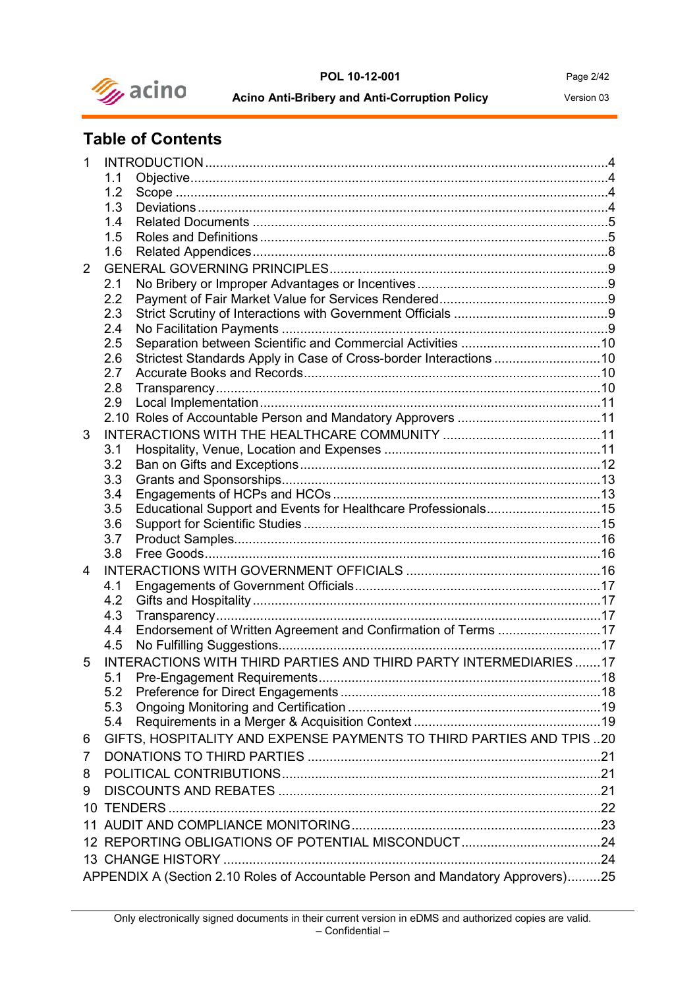

#### **POL 10-12-001** Page 2/42

**Acino Anti-Bribery and Anti-Corruption Policy** Version 03

## **Table of Contents**

| 1  |     |                                                                                 |     |
|----|-----|---------------------------------------------------------------------------------|-----|
|    | 1.1 |                                                                                 |     |
|    | 1.2 |                                                                                 |     |
|    | 1.3 |                                                                                 |     |
|    | 1.4 |                                                                                 |     |
|    | 1.5 |                                                                                 |     |
|    | 1.6 |                                                                                 |     |
| 2  |     |                                                                                 |     |
|    | 2.1 |                                                                                 |     |
|    | 2.2 |                                                                                 |     |
|    | 2.3 |                                                                                 |     |
|    | 2.4 |                                                                                 |     |
|    | 2.5 |                                                                                 |     |
|    | 2.6 | Strictest Standards Apply in Case of Cross-border Interactions 10               |     |
|    | 2.7 |                                                                                 |     |
|    | 2.8 |                                                                                 |     |
|    | 2.9 |                                                                                 |     |
|    |     |                                                                                 |     |
| 3  |     |                                                                                 |     |
|    | 3.1 |                                                                                 |     |
|    | 3.2 |                                                                                 |     |
|    | 3.3 |                                                                                 |     |
|    | 3.4 |                                                                                 |     |
|    | 3.5 | Educational Support and Events for Healthcare Professionals15                   |     |
|    | 3.6 |                                                                                 |     |
|    | 3.7 |                                                                                 |     |
|    | 3.8 |                                                                                 |     |
| 4  |     |                                                                                 |     |
|    | 4.1 |                                                                                 |     |
|    | 4.2 |                                                                                 |     |
|    | 4.3 |                                                                                 |     |
|    | 4.4 | Endorsement of Written Agreement and Confirmation of Terms 17                   |     |
|    | 4.5 |                                                                                 |     |
| 5  |     | INTERACTIONS WITH THIRD PARTIES AND THIRD PARTY INTERMEDIARIES17                |     |
|    |     |                                                                                 | .18 |
|    | 5.2 |                                                                                 |     |
|    | 5.3 |                                                                                 |     |
|    | 5.4 |                                                                                 |     |
| 6  |     | GIFTS, HOSPITALITY AND EXPENSE PAYMENTS TO THIRD PARTIES AND TPIS20             |     |
| 7  |     |                                                                                 |     |
| 8  |     |                                                                                 |     |
|    |     |                                                                                 |     |
| 9  |     |                                                                                 |     |
|    |     |                                                                                 |     |
| 11 |     |                                                                                 |     |
|    |     |                                                                                 |     |
|    |     |                                                                                 |     |
|    |     | APPENDIX A (Section 2.10 Roles of Accountable Person and Mandatory Approvers)25 |     |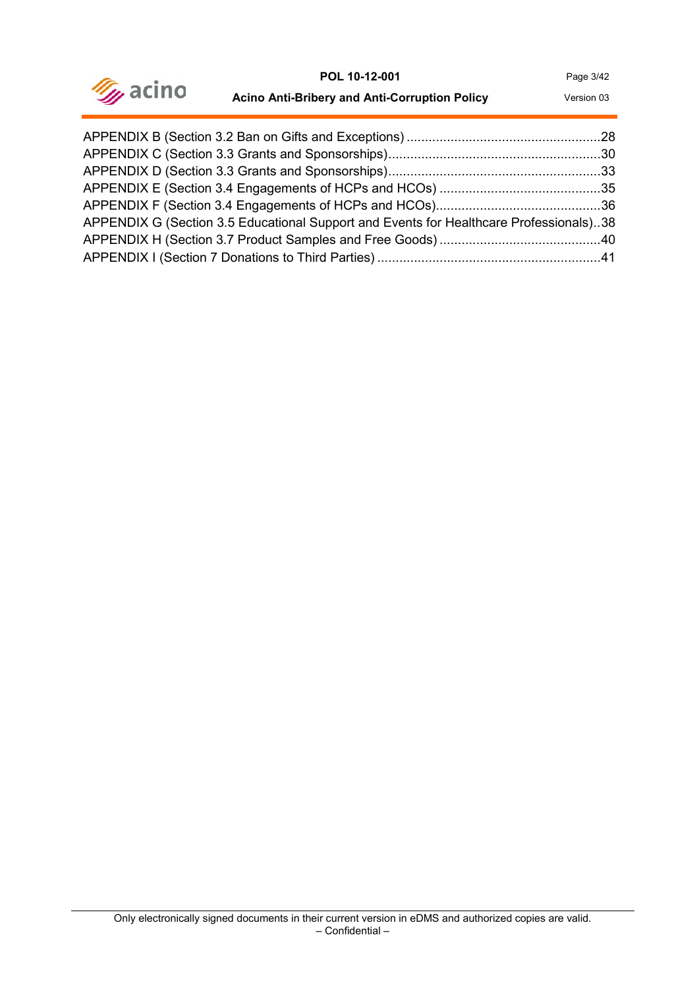

| <b>Acino Anti-Bribery and Anti-Corruption Policy</b> | Version 03 |
|------------------------------------------------------|------------|
|------------------------------------------------------|------------|

| APPENDIX G (Section 3.5 Educational Support and Events for Healthcare Professionals)38 |  |
|----------------------------------------------------------------------------------------|--|
|                                                                                        |  |
|                                                                                        |  |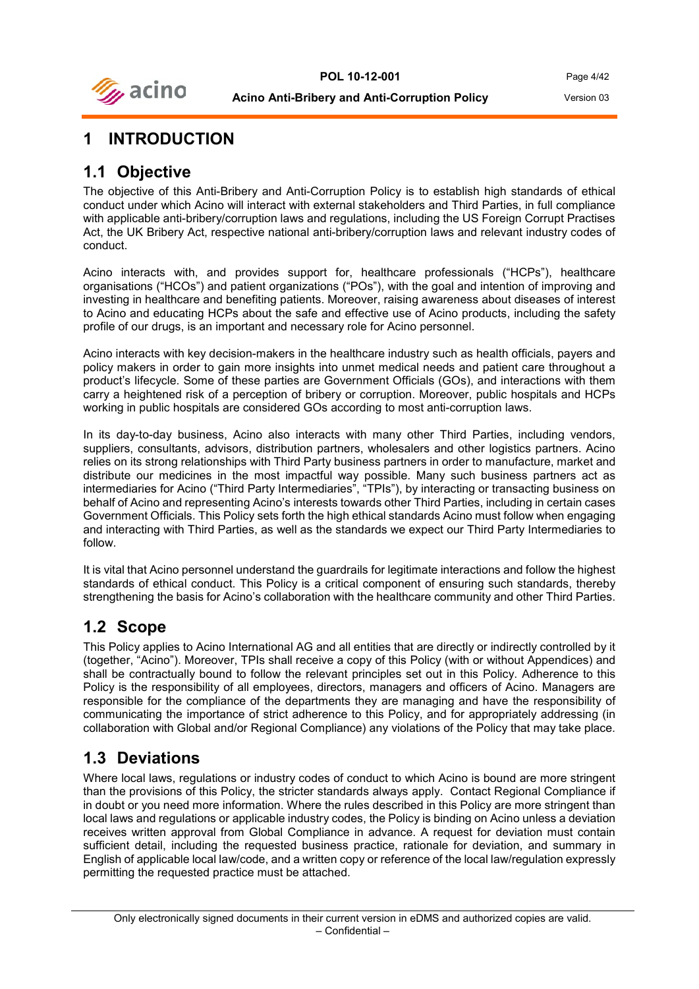

## <span id="page-3-0"></span>**1 INTRODUCTION**

### <span id="page-3-1"></span>**1.1 Objective**

The objective of this Anti-Bribery and Anti-Corruption Policy is to establish high standards of ethical conduct under which Acino will interact with external stakeholders and Third Parties, in full compliance with applicable anti-bribery/corruption laws and regulations, including the US Foreign Corrupt Practises Act, the UK Bribery Act, respective national anti-bribery/corruption laws and relevant industry codes of conduct.

Acino interacts with, and provides support for, healthcare professionals ("HCPs"), healthcare organisations ("HCOs") and patient organizations ("POs"), with the goal and intention of improving and investing in healthcare and benefiting patients. Moreover, raising awareness about diseases of interest to Acino and educating HCPs about the safe and effective use of Acino products, including the safety profile of our drugs, is an important and necessary role for Acino personnel.

Acino interacts with key decision-makers in the healthcare industry such as health officials, payers and policy makers in order to gain more insights into unmet medical needs and patient care throughout a product's lifecycle. Some of these parties are Government Officials (GOs), and interactions with them carry a heightened risk of a perception of bribery or corruption. Moreover, public hospitals and HCPs working in public hospitals are considered GOs according to most anti-corruption laws.

In its day-to-day business, Acino also interacts with many other Third Parties, including vendors, suppliers, consultants, advisors, distribution partners, wholesalers and other logistics partners. Acino relies on its strong relationships with Third Party business partners in order to manufacture, market and distribute our medicines in the most impactful way possible. Many such business partners act as intermediaries for Acino ("Third Party Intermediaries", "TPIs"), by interacting or transacting business on behalf of Acino and representing Acino's interests towards other Third Parties, including in certain cases Government Officials. This Policy sets forth the high ethical standards Acino must follow when engaging and interacting with Third Parties, as well as the standards we expect our Third Party Intermediaries to follow.

It is vital that Acino personnel understand the guardrails for legitimate interactions and follow the highest standards of ethical conduct. This Policy is a critical component of ensuring such standards, thereby strengthening the basis for Acino's collaboration with the healthcare community and other Third Parties.

## <span id="page-3-2"></span>**1.2 Scope**

This Policy applies to Acino International AG and all entities that are directly or indirectly controlled by it (together, "Acino"). Moreover, TPIs shall receive a copy of this Policy (with or without Appendices) and shall be contractually bound to follow the relevant principles set out in this Policy. Adherence to this Policy is the responsibility of all employees, directors, managers and officers of Acino. Managers are responsible for the compliance of the departments they are managing and have the responsibility of communicating the importance of strict adherence to this Policy, and for appropriately addressing (in collaboration with Global and/or Regional Compliance) any violations of the Policy that may take place.

## <span id="page-3-3"></span>**1.3 Deviations**

Where local laws, regulations or industry codes of conduct to which Acino is bound are more stringent than the provisions of this Policy, the stricter standards always apply. Contact Regional Compliance if in doubt or you need more information. Where the rules described in this Policy are more stringent than local laws and regulations or applicable industry codes, the Policy is binding on Acino unless a deviation receives written approval from Global Compliance in advance. A request for deviation must contain sufficient detail, including the requested business practice, rationale for deviation, and summary in English of applicable local law/code, and a written copy or reference of the local law/regulation expressly permitting the requested practice must be attached.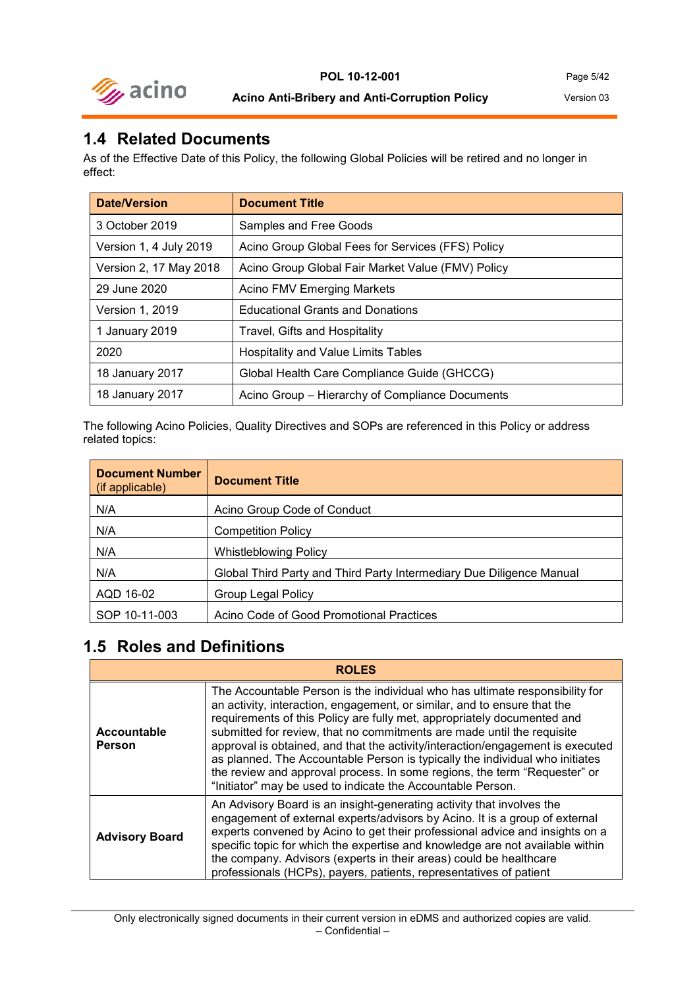

#### <span id="page-4-0"></span>**1.4 Related Documents**

As of the Effective Date of this Policy, the following Global Policies will be retired and no longer in effect:

| <b>Date/Version</b>    | <b>Document Title</b>                             |
|------------------------|---------------------------------------------------|
| 3 October 2019         | Samples and Free Goods                            |
| Version 1, 4 July 2019 | Acino Group Global Fees for Services (FFS) Policy |
| Version 2, 17 May 2018 | Acino Group Global Fair Market Value (FMV) Policy |
| 29 June 2020           | Acino FMV Emerging Markets                        |
| <b>Version 1, 2019</b> | <b>Educational Grants and Donations</b>           |
| 1 January 2019         | Travel, Gifts and Hospitality                     |
| 2020                   | <b>Hospitality and Value Limits Tables</b>        |
| 18 January 2017        | Global Health Care Compliance Guide (GHCCG)       |
| 18 January 2017        | Acino Group - Hierarchy of Compliance Documents   |

The following Acino Policies, Quality Directives and SOPs are referenced in this Policy or address related topics:

| <b>Document Number</b><br>(if applicable) | <b>Document Title</b>                                                |
|-------------------------------------------|----------------------------------------------------------------------|
| N/A                                       | Acino Group Code of Conduct                                          |
| N/A                                       | <b>Competition Policy</b>                                            |
| N/A                                       | <b>Whistleblowing Policy</b>                                         |
| N/A                                       | Global Third Party and Third Party Intermediary Due Diligence Manual |
| AQD 16-02                                 | <b>Group Legal Policy</b>                                            |
| SOP 10-11-003                             | Acino Code of Good Promotional Practices                             |

#### <span id="page-4-1"></span>**1.5 Roles and Definitions**

| <b>ROLES</b>                 |                                                                                                                                                                                                                                                                                                                                                                                                                                                                                                                                                                                                                             |  |
|------------------------------|-----------------------------------------------------------------------------------------------------------------------------------------------------------------------------------------------------------------------------------------------------------------------------------------------------------------------------------------------------------------------------------------------------------------------------------------------------------------------------------------------------------------------------------------------------------------------------------------------------------------------------|--|
| Accountable<br><b>Person</b> | The Accountable Person is the individual who has ultimate responsibility for<br>an activity, interaction, engagement, or similar, and to ensure that the<br>requirements of this Policy are fully met, appropriately documented and<br>submitted for review, that no commitments are made until the requisite<br>approval is obtained, and that the activity/interaction/engagement is executed<br>as planned. The Accountable Person is typically the individual who initiates<br>the review and approval process. In some regions, the term "Requester" or<br>"Initiator" may be used to indicate the Accountable Person. |  |
| <b>Advisory Board</b>        | An Advisory Board is an insight-generating activity that involves the<br>engagement of external experts/advisors by Acino. It is a group of external<br>experts convened by Acino to get their professional advice and insights on a<br>specific topic for which the expertise and knowledge are not available within<br>the company. Advisors (experts in their areas) could be healthcare<br>professionals (HCPs), payers, patients, representatives of patient                                                                                                                                                           |  |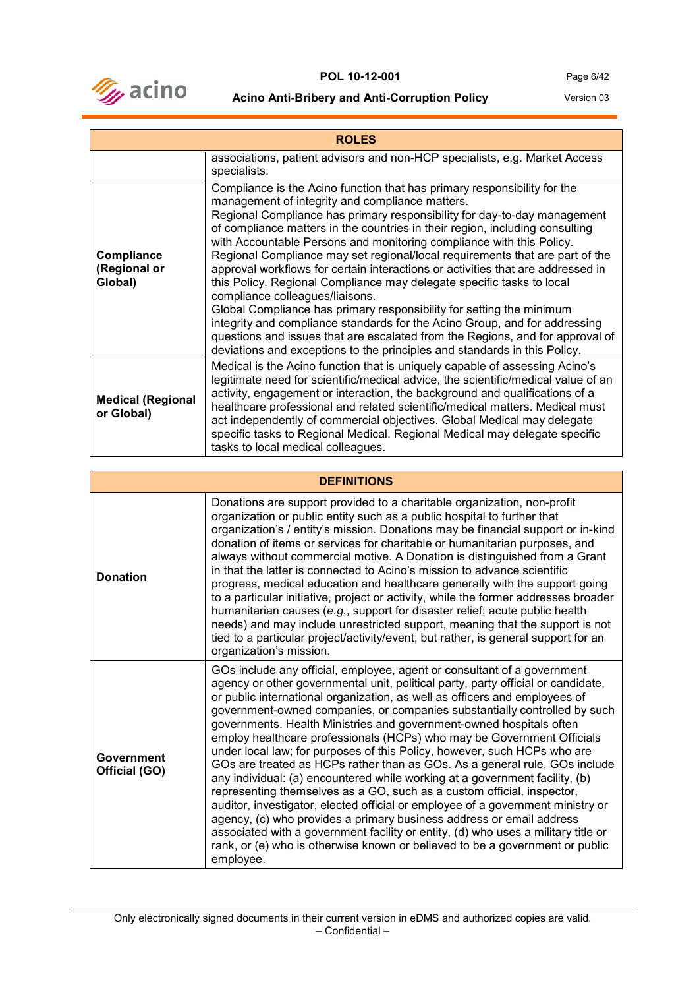

| <b>ROLES</b>                           |                                                                                                                                                                                                                                                                                                                                                                                                                                                                                                                                                                                                                                                                                                                                                                                                                                                                                                                                                                    |  |
|----------------------------------------|--------------------------------------------------------------------------------------------------------------------------------------------------------------------------------------------------------------------------------------------------------------------------------------------------------------------------------------------------------------------------------------------------------------------------------------------------------------------------------------------------------------------------------------------------------------------------------------------------------------------------------------------------------------------------------------------------------------------------------------------------------------------------------------------------------------------------------------------------------------------------------------------------------------------------------------------------------------------|--|
|                                        | associations, patient advisors and non-HCP specialists, e.g. Market Access<br>specialists.                                                                                                                                                                                                                                                                                                                                                                                                                                                                                                                                                                                                                                                                                                                                                                                                                                                                         |  |
| Compliance<br>(Regional or<br>Global)  | Compliance is the Acino function that has primary responsibility for the<br>management of integrity and compliance matters.<br>Regional Compliance has primary responsibility for day-to-day management<br>of compliance matters in the countries in their region, including consulting<br>with Accountable Persons and monitoring compliance with this Policy.<br>Regional Compliance may set regional/local requirements that are part of the<br>approval workflows for certain interactions or activities that are addressed in<br>this Policy. Regional Compliance may delegate specific tasks to local<br>compliance colleagues/liaisons.<br>Global Compliance has primary responsibility for setting the minimum<br>integrity and compliance standards for the Acino Group, and for addressing<br>questions and issues that are escalated from the Regions, and for approval of<br>deviations and exceptions to the principles and standards in this Policy. |  |
| <b>Medical (Regional</b><br>or Global) | Medical is the Acino function that is uniquely capable of assessing Acino's<br>legitimate need for scientific/medical advice, the scientific/medical value of an<br>activity, engagement or interaction, the background and qualifications of a<br>healthcare professional and related scientific/medical matters. Medical must<br>act independently of commercial objectives. Global Medical may delegate<br>specific tasks to Regional Medical. Regional Medical may delegate specific<br>tasks to local medical colleagues.                                                                                                                                                                                                                                                                                                                                                                                                                                     |  |

| <b>DEFINITIONS</b>          |                                                                                                                                                                                                                                                                                                                                                                                                                                                                                                                                                                                                                                                                                                                                                                                                                                                                                                                                                                                                                                                                                                                                         |  |
|-----------------------------|-----------------------------------------------------------------------------------------------------------------------------------------------------------------------------------------------------------------------------------------------------------------------------------------------------------------------------------------------------------------------------------------------------------------------------------------------------------------------------------------------------------------------------------------------------------------------------------------------------------------------------------------------------------------------------------------------------------------------------------------------------------------------------------------------------------------------------------------------------------------------------------------------------------------------------------------------------------------------------------------------------------------------------------------------------------------------------------------------------------------------------------------|--|
| <b>Donation</b>             | Donations are support provided to a charitable organization, non-profit<br>organization or public entity such as a public hospital to further that<br>organization's / entity's mission. Donations may be financial support or in-kind<br>donation of items or services for charitable or humanitarian purposes, and<br>always without commercial motive. A Donation is distinguished from a Grant<br>in that the latter is connected to Acino's mission to advance scientific<br>progress, medical education and healthcare generally with the support going<br>to a particular initiative, project or activity, while the former addresses broader<br>humanitarian causes (e.g., support for disaster relief; acute public health<br>needs) and may include unrestricted support, meaning that the support is not<br>tied to a particular project/activity/event, but rather, is general support for an<br>organization's mission.                                                                                                                                                                                                    |  |
| Government<br>Official (GO) | GOs include any official, employee, agent or consultant of a government<br>agency or other governmental unit, political party, party official or candidate,<br>or public international organization, as well as officers and employees of<br>government-owned companies, or companies substantially controlled by such<br>governments. Health Ministries and government-owned hospitals often<br>employ healthcare professionals (HCPs) who may be Government Officials<br>under local law; for purposes of this Policy, however, such HCPs who are<br>GOs are treated as HCPs rather than as GOs. As a general rule, GOs include<br>any individual: (a) encountered while working at a government facility, (b)<br>representing themselves as a GO, such as a custom official, inspector,<br>auditor, investigator, elected official or employee of a government ministry or<br>agency, (c) who provides a primary business address or email address<br>associated with a government facility or entity, (d) who uses a military title or<br>rank, or (e) who is otherwise known or believed to be a government or public<br>employee. |  |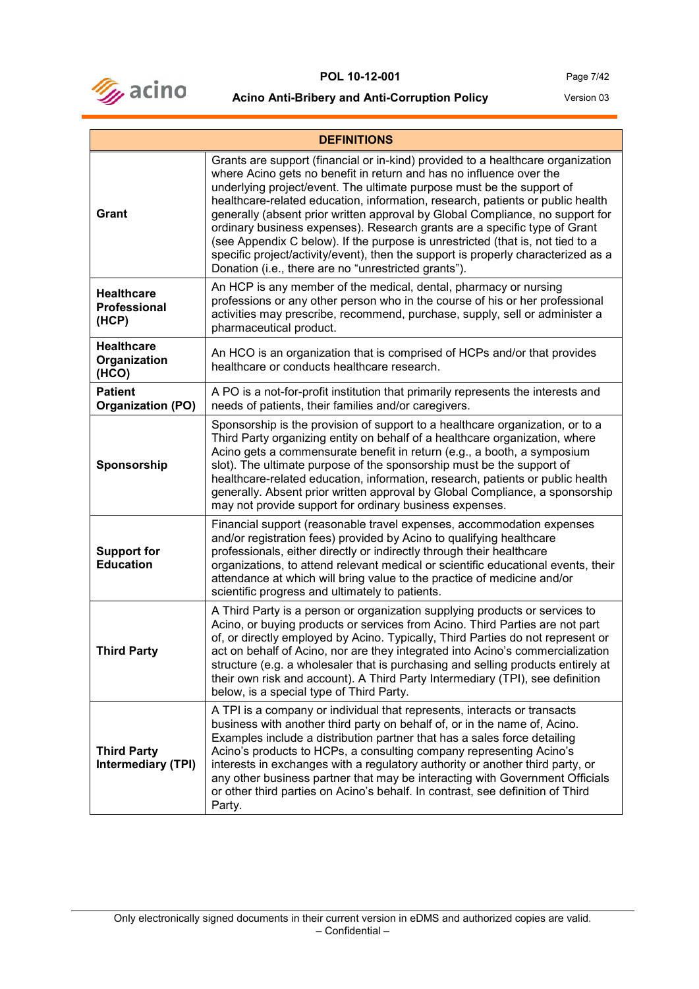

| <b>DEFINITIONS</b>                                |                                                                                                                                                                                                                                                                                                                                                                                                                                                                                                                                                                                                                                                                                                                |  |
|---------------------------------------------------|----------------------------------------------------------------------------------------------------------------------------------------------------------------------------------------------------------------------------------------------------------------------------------------------------------------------------------------------------------------------------------------------------------------------------------------------------------------------------------------------------------------------------------------------------------------------------------------------------------------------------------------------------------------------------------------------------------------|--|
| Grant                                             | Grants are support (financial or in-kind) provided to a healthcare organization<br>where Acino gets no benefit in return and has no influence over the<br>underlying project/event. The ultimate purpose must be the support of<br>healthcare-related education, information, research, patients or public health<br>generally (absent prior written approval by Global Compliance, no support for<br>ordinary business expenses). Research grants are a specific type of Grant<br>(see Appendix C below). If the purpose is unrestricted (that is, not tied to a<br>specific project/activity/event), then the support is properly characterized as a<br>Donation (i.e., there are no "unrestricted grants"). |  |
| <b>Healthcare</b><br><b>Professional</b><br>(HCP) | An HCP is any member of the medical, dental, pharmacy or nursing<br>professions or any other person who in the course of his or her professional<br>activities may prescribe, recommend, purchase, supply, sell or administer a<br>pharmaceutical product.                                                                                                                                                                                                                                                                                                                                                                                                                                                     |  |
| <b>Healthcare</b><br>Organization<br>(HCO)        | An HCO is an organization that is comprised of HCPs and/or that provides<br>healthcare or conducts healthcare research.                                                                                                                                                                                                                                                                                                                                                                                                                                                                                                                                                                                        |  |
| <b>Patient</b><br><b>Organization (PO)</b>        | A PO is a not-for-profit institution that primarily represents the interests and<br>needs of patients, their families and/or caregivers.                                                                                                                                                                                                                                                                                                                                                                                                                                                                                                                                                                       |  |
| Sponsorship                                       | Sponsorship is the provision of support to a healthcare organization, or to a<br>Third Party organizing entity on behalf of a healthcare organization, where<br>Acino gets a commensurate benefit in return (e.g., a booth, a symposium<br>slot). The ultimate purpose of the sponsorship must be the support of<br>healthcare-related education, information, research, patients or public health<br>generally. Absent prior written approval by Global Compliance, a sponsorship<br>may not provide support for ordinary business expenses.                                                                                                                                                                  |  |
| <b>Support for</b><br><b>Education</b>            | Financial support (reasonable travel expenses, accommodation expenses<br>and/or registration fees) provided by Acino to qualifying healthcare<br>professionals, either directly or indirectly through their healthcare<br>organizations, to attend relevant medical or scientific educational events, their<br>attendance at which will bring value to the practice of medicine and/or<br>scientific progress and ultimately to patients.                                                                                                                                                                                                                                                                      |  |
| <b>Third Party</b>                                | A Third Party is a person or organization supplying products or services to<br>Acino, or buying products or services from Acino. Third Parties are not part<br>of, or directly employed by Acino. Typically, Third Parties do not represent or<br>act on behalf of Acino, nor are they integrated into Acino's commercialization<br>structure (e.g. a wholesaler that is purchasing and selling products entirely at<br>their own risk and account). A Third Party Intermediary (TPI), see definition<br>below, is a special type of Third Party.                                                                                                                                                              |  |
| <b>Third Party</b><br><b>Intermediary (TPI)</b>   | A TPI is a company or individual that represents, interacts or transacts<br>business with another third party on behalf of, or in the name of, Acino.<br>Examples include a distribution partner that has a sales force detailing<br>Acino's products to HCPs, a consulting company representing Acino's<br>interests in exchanges with a regulatory authority or another third party, or<br>any other business partner that may be interacting with Government Officials<br>or other third parties on Acino's behalf. In contrast, see definition of Third<br>Party.                                                                                                                                          |  |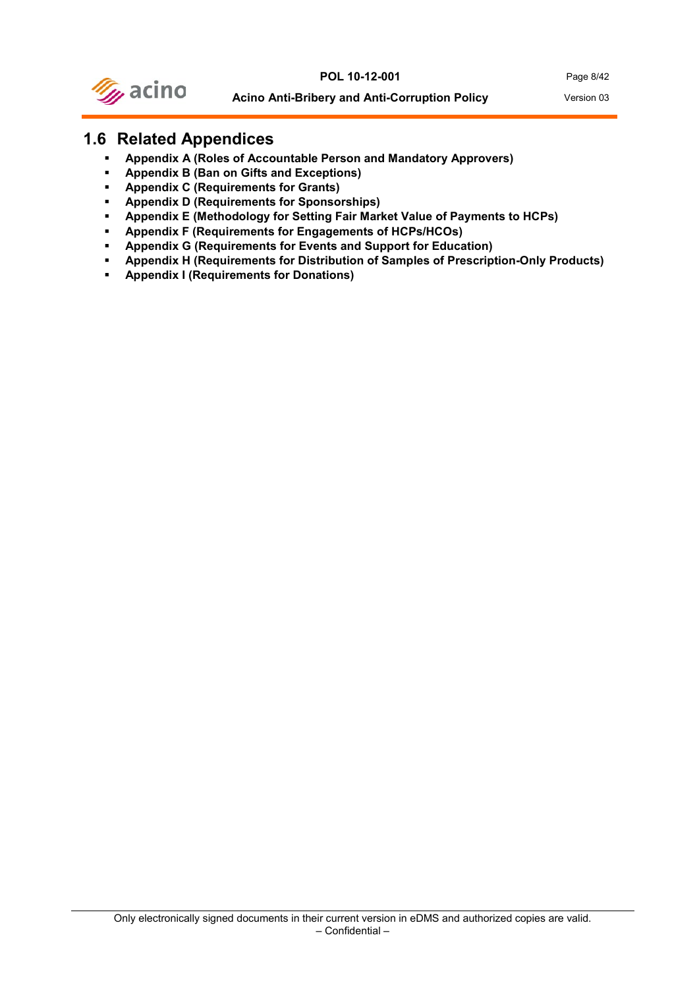

### <span id="page-7-0"></span>**1.6 Related Appendices**

- **Appendix A (Roles of Accountable Person and Mandatory Approvers)**
- **Appendix B (Ban on Gifts and Exceptions)**
- **Appendix C (Requirements for Grants)**
- **Appendix D (Requirements for Sponsorships)**
- **Appendix E (Methodology for Setting Fair Market Value of Payments to HCPs)**
- **Appendix F (Requirements for Engagements of HCPs/HCOs)**
- **Appendix G (Requirements for Events and Support for Education)**
- **Appendix H (Requirements for Distribution of Samples of Prescription-Only Products)**
- **Appendix I (Requirements for Donations)**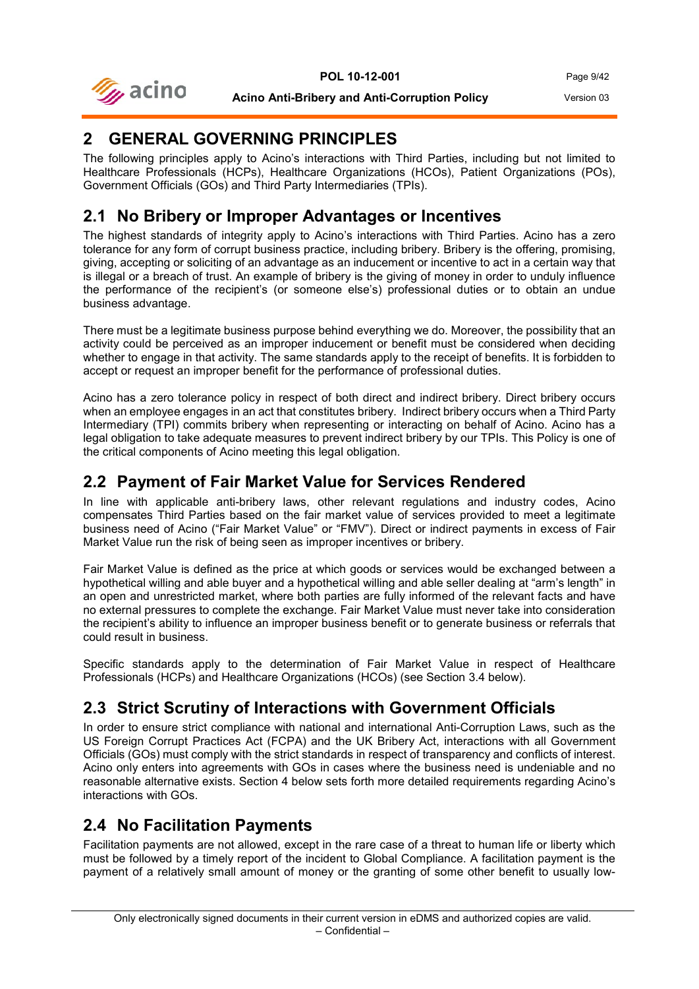

## <span id="page-8-0"></span>**2 GENERAL GOVERNING PRINCIPLES**

The following principles apply to Acino's interactions with Third Parties, including but not limited to Healthcare Professionals (HCPs), Healthcare Organizations (HCOs), Patient Organizations (POs), Government Officials (GOs) and Third Party Intermediaries (TPIs).

## <span id="page-8-1"></span>**2.1 No Bribery or Improper Advantages or Incentives**

The highest standards of integrity apply to Acino's interactions with Third Parties. Acino has a zero tolerance for any form of corrupt business practice, including bribery. Bribery is the offering, promising, giving, accepting or soliciting of an advantage as an inducement or incentive to act in a certain way that is illegal or a breach of trust. An example of bribery is the giving of money in order to unduly influence the performance of the recipient's (or someone else's) professional duties or to obtain an undue business advantage.

There must be a legitimate business purpose behind everything we do. Moreover, the possibility that an activity could be perceived as an improper inducement or benefit must be considered when deciding whether to engage in that activity. The same standards apply to the receipt of benefits. It is forbidden to accept or request an improper benefit for the performance of professional duties.

Acino has a zero tolerance policy in respect of both direct and indirect bribery. Direct bribery occurs when an employee engages in an act that constitutes bribery. Indirect bribery occurs when a Third Party Intermediary (TPI) commits bribery when representing or interacting on behalf of Acino. Acino has a legal obligation to take adequate measures to prevent indirect bribery by our TPIs. This Policy is one of the critical components of Acino meeting this legal obligation.

## <span id="page-8-2"></span>**2.2 Payment of Fair Market Value for Services Rendered**

In line with applicable anti-bribery laws, other relevant regulations and industry codes, Acino compensates Third Parties based on the fair market value of services provided to meet a legitimate business need of Acino ("Fair Market Value" or "FMV"). Direct or indirect payments in excess of Fair Market Value run the risk of being seen as improper incentives or bribery.

Fair Market Value is defined as the price at which goods or services would be exchanged between a hypothetical willing and able buyer and a hypothetical willing and able seller dealing at "arm's length" in an open and unrestricted market, where both parties are fully informed of the relevant facts and have no external pressures to complete the exchange. Fair Market Value must never take into consideration the recipient's ability to influence an improper business benefit or to generate business or referrals that could result in business.

Specific standards apply to the determination of Fair Market Value in respect of Healthcare Professionals (HCPs) and Healthcare Organizations (HCOs) (see Section 3.4 below).

## <span id="page-8-3"></span>**2.3 Strict Scrutiny of Interactions with Government Officials**

In order to ensure strict compliance with national and international Anti-Corruption Laws, such as the US Foreign Corrupt Practices Act (FCPA) and the UK Bribery Act, interactions with all Government Officials (GOs) must comply with the strict standards in respect of transparency and conflicts of interest. Acino only enters into agreements with GOs in cases where the business need is undeniable and no reasonable alternative exists. Section 4 below sets forth more detailed requirements regarding Acino's interactions with GOs.

## <span id="page-8-4"></span>**2.4 No Facilitation Payments**

Facilitation payments are not allowed, except in the rare case of a threat to human life or liberty which must be followed by a timely report of the incident to Global Compliance. A facilitation payment is the payment of a relatively small amount of money or the granting of some other benefit to usually low-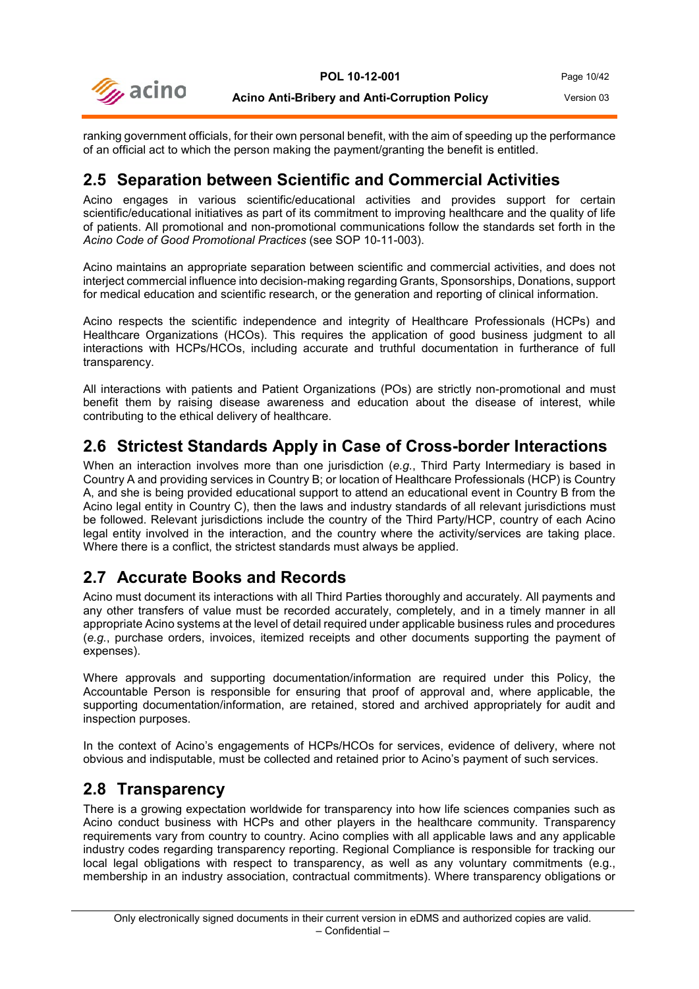

ranking government officials, for their own personal benefit, with the aim of speeding up the performance of an official act to which the person making the payment/granting the benefit is entitled.

#### <span id="page-9-0"></span>**2.5 Separation between Scientific and Commercial Activities**

Acino engages in various scientific/educational activities and provides support for certain scientific/educational initiatives as part of its commitment to improving healthcare and the quality of life of patients. All promotional and non-promotional communications follow the standards set forth in the *Acino Code of Good Promotional Practices* (see SOP 10-11-003).

Acino maintains an appropriate separation between scientific and commercial activities, and does not interject commercial influence into decision-making regarding Grants, Sponsorships, Donations, support for medical education and scientific research, or the generation and reporting of clinical information.

Acino respects the scientific independence and integrity of Healthcare Professionals (HCPs) and Healthcare Organizations (HCOs). This requires the application of good business judgment to all interactions with HCPs/HCOs, including accurate and truthful documentation in furtherance of full transparency.

All interactions with patients and Patient Organizations (POs) are strictly non-promotional and must benefit them by raising disease awareness and education about the disease of interest, while contributing to the ethical delivery of healthcare.

### <span id="page-9-1"></span>**2.6 Strictest Standards Apply in Case of Cross-border Interactions**

When an interaction involves more than one jurisdiction (*e.g.*, Third Party Intermediary is based in Country A and providing services in Country B; or location of Healthcare Professionals (HCP) is Country A, and she is being provided educational support to attend an educational event in Country B from the Acino legal entity in Country C), then the laws and industry standards of all relevant jurisdictions must be followed. Relevant jurisdictions include the country of the Third Party/HCP, country of each Acino legal entity involved in the interaction, and the country where the activity/services are taking place. Where there is a conflict, the strictest standards must always be applied.

## <span id="page-9-2"></span>**2.7 Accurate Books and Records**

Acino must document its interactions with all Third Parties thoroughly and accurately. All payments and any other transfers of value must be recorded accurately, completely, and in a timely manner in all appropriate Acino systems at the level of detail required under applicable business rules and procedures (*e.g.*, purchase orders, invoices, itemized receipts and other documents supporting the payment of expenses).

Where approvals and supporting documentation/information are required under this Policy, the Accountable Person is responsible for ensuring that proof of approval and, where applicable, the supporting documentation/information, are retained, stored and archived appropriately for audit and inspection purposes.

In the context of Acino's engagements of HCPs/HCOs for services, evidence of delivery, where not obvious and indisputable, must be collected and retained prior to Acino's payment of such services.

#### <span id="page-9-3"></span>**2.8 Transparency**

There is a growing expectation worldwide for transparency into how life sciences companies such as Acino conduct business with HCPs and other players in the healthcare community. Transparency requirements vary from country to country. Acino complies with all applicable laws and any applicable industry codes regarding transparency reporting. Regional Compliance is responsible for tracking our local legal obligations with respect to transparency, as well as any voluntary commitments (e.g., membership in an industry association, contractual commitments). Where transparency obligations or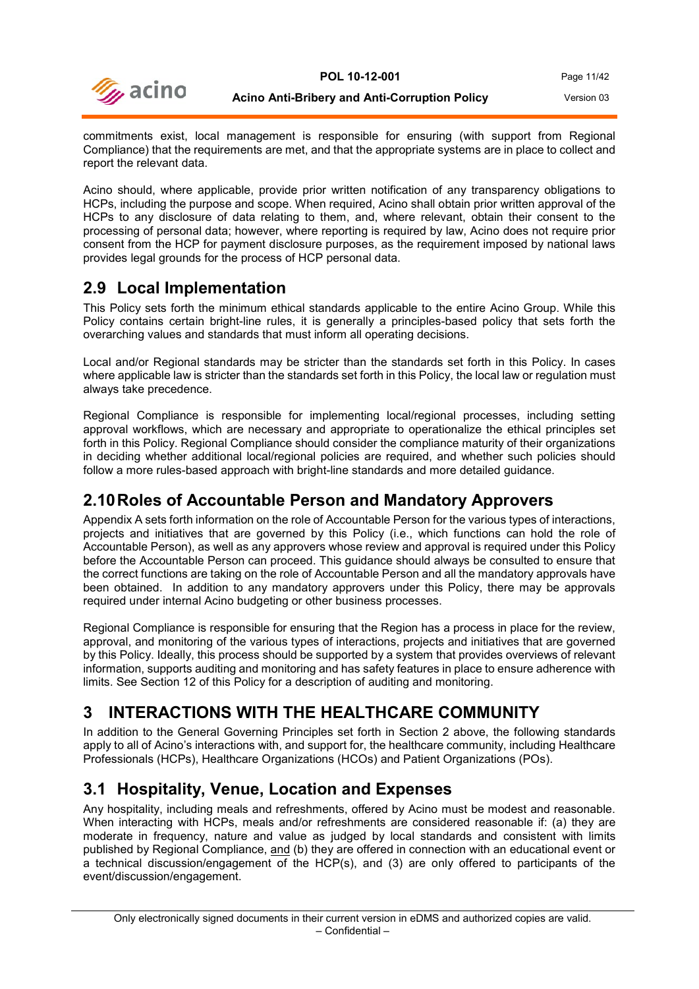

commitments exist, local management is responsible for ensuring (with support from Regional Compliance) that the requirements are met, and that the appropriate systems are in place to collect and report the relevant data.

Acino should, where applicable, provide prior written notification of any transparency obligations to HCPs, including the purpose and scope. When required, Acino shall obtain prior written approval of the HCPs to any disclosure of data relating to them, and, where relevant, obtain their consent to the processing of personal data; however, where reporting is required by law, Acino does not require prior consent from the HCP for payment disclosure purposes, as the requirement imposed by national laws provides legal grounds for the process of HCP personal data.

### <span id="page-10-0"></span>**2.9 Local Implementation**

This Policy sets forth the minimum ethical standards applicable to the entire Acino Group. While this Policy contains certain bright-line rules, it is generally a principles-based policy that sets forth the overarching values and standards that must inform all operating decisions.

Local and/or Regional standards may be stricter than the standards set forth in this Policy. In cases where applicable law is stricter than the standards set forth in this Policy, the local law or regulation must always take precedence.

Regional Compliance is responsible for implementing local/regional processes, including setting approval workflows, which are necessary and appropriate to operationalize the ethical principles set forth in this Policy. Regional Compliance should consider the compliance maturity of their organizations in deciding whether additional local/regional policies are required, and whether such policies should follow a more rules-based approach with bright-line standards and more detailed guidance.

### <span id="page-10-1"></span>**2.10Roles of Accountable Person and Mandatory Approvers**

Appendix A sets forth information on the role of Accountable Person for the various types of interactions, projects and initiatives that are governed by this Policy (i.e., which functions can hold the role of Accountable Person), as well as any approvers whose review and approval is required under this Policy before the Accountable Person can proceed. This guidance should always be consulted to ensure that the correct functions are taking on the role of Accountable Person and all the mandatory approvals have been obtained. In addition to any mandatory approvers under this Policy, there may be approvals required under internal Acino budgeting or other business processes.

Regional Compliance is responsible for ensuring that the Region has a process in place for the review, approval, and monitoring of the various types of interactions, projects and initiatives that are governed by this Policy. Ideally, this process should be supported by a system that provides overviews of relevant information, supports auditing and monitoring and has safety features in place to ensure adherence with limits. See Section 12 of this Policy for a description of auditing and monitoring.

## <span id="page-10-2"></span>**3 INTERACTIONS WITH THE HEALTHCARE COMMUNITY**

In addition to the General Governing Principles set forth in Section 2 above, the following standards apply to all of Acino's interactions with, and support for, the healthcare community, including Healthcare Professionals (HCPs), Healthcare Organizations (HCOs) and Patient Organizations (POs).

## <span id="page-10-3"></span>**3.1 Hospitality, Venue, Location and Expenses**

Any hospitality, including meals and refreshments, offered by Acino must be modest and reasonable. When interacting with HCPs, meals and/or refreshments are considered reasonable if: (a) they are moderate in frequency, nature and value as judged by local standards and consistent with limits published by Regional Compliance, and (b) they are offered in connection with an educational event or a technical discussion/engagement of the HCP(s), and (3) are only offered to participants of the event/discussion/engagement.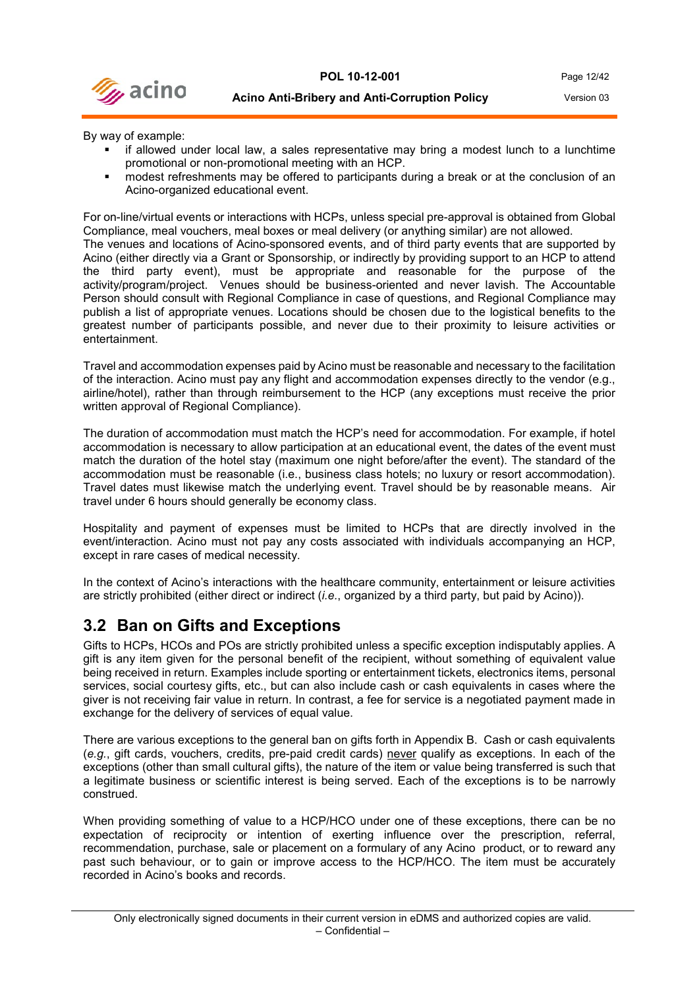By way of example:

- if allowed under local law, a sales representative may bring a modest lunch to a lunchtime promotional or non-promotional meeting with an HCP.
- modest refreshments may be offered to participants during a break or at the conclusion of an Acino-organized educational event.

For on-line/virtual events or interactions with HCPs, unless special pre-approval is obtained from Global Compliance, meal vouchers, meal boxes or meal delivery (or anything similar) are not allowed.

The venues and locations of Acino-sponsored events, and of third party events that are supported by Acino (either directly via a Grant or Sponsorship, or indirectly by providing support to an HCP to attend the third party event), must be appropriate and reasonable for the purpose of the activity/program/project. Venues should be business-oriented and never lavish. The Accountable Person should consult with Regional Compliance in case of questions, and Regional Compliance may publish a list of appropriate venues. Locations should be chosen due to the logistical benefits to the greatest number of participants possible, and never due to their proximity to leisure activities or entertainment.

Travel and accommodation expenses paid by Acino must be reasonable and necessary to the facilitation of the interaction. Acino must pay any flight and accommodation expenses directly to the vendor (e.g., airline/hotel), rather than through reimbursement to the HCP (any exceptions must receive the prior written approval of Regional Compliance).

The duration of accommodation must match the HCP's need for accommodation. For example, if hotel accommodation is necessary to allow participation at an educational event, the dates of the event must match the duration of the hotel stay (maximum one night before/after the event). The standard of the accommodation must be reasonable (i.e., business class hotels; no luxury or resort accommodation). Travel dates must likewise match the underlying event. Travel should be by reasonable means. Air travel under 6 hours should generally be economy class.

Hospitality and payment of expenses must be limited to HCPs that are directly involved in the event/interaction. Acino must not pay any costs associated with individuals accompanying an HCP, except in rare cases of medical necessity.

In the context of Acino's interactions with the healthcare community, entertainment or leisure activities are strictly prohibited (either direct or indirect (*i.e.*, organized by a third party, but paid by Acino)).

#### <span id="page-11-0"></span>**3.2 Ban on Gifts and Exceptions**

Gifts to HCPs, HCOs and POs are strictly prohibited unless a specific exception indisputably applies. A gift is any item given for the personal benefit of the recipient, without something of equivalent value being received in return. Examples include sporting or entertainment tickets, electronics items, personal services, social courtesy gifts, etc., but can also include cash or cash equivalents in cases where the giver is not receiving fair value in return. In contrast, a fee for service is a negotiated payment made in exchange for the delivery of services of equal value.

There are various exceptions to the general ban on gifts forth in Appendix B. Cash or cash equivalents (*e.g.*, gift cards, vouchers, credits, pre-paid credit cards) never qualify as exceptions. In each of the exceptions (other than small cultural gifts), the nature of the item or value being transferred is such that a legitimate business or scientific interest is being served. Each of the exceptions is to be narrowly construed.

When providing something of value to a HCP/HCO under one of these exceptions, there can be no expectation of reciprocity or intention of exerting influence over the prescription, referral, recommendation, purchase, sale or placement on a formulary of any Acino product, or to reward any past such behaviour, or to gain or improve access to the HCP/HCO. The item must be accurately recorded in Acino's books and records.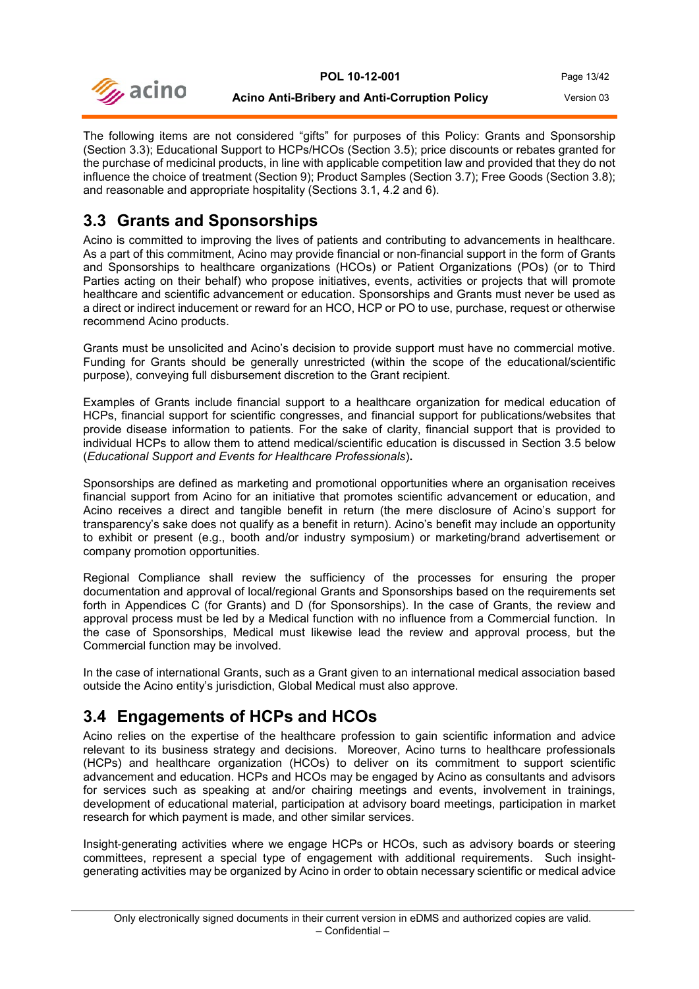

The following items are not considered "gifts" for purposes of this Policy: Grants and Sponsorship (Section 3.3); Educational Support to HCPs/HCOs (Section 3.5); price discounts or rebates granted for the purchase of medicinal products, in line with applicable competition law and provided that they do not influence the choice of treatment (Section 9); Product Samples (Section 3.7); Free Goods (Section 3.8); and reasonable and appropriate hospitality (Sections 3.1, 4.2 and 6).

## <span id="page-12-0"></span>**3.3 Grants and Sponsorships**

Acino is committed to improving the lives of patients and contributing to advancements in healthcare. As a part of this commitment, Acino may provide financial or non-financial support in the form of Grants and Sponsorships to healthcare organizations (HCOs) or Patient Organizations (POs) (or to Third Parties acting on their behalf) who propose initiatives, events, activities or projects that will promote healthcare and scientific advancement or education. Sponsorships and Grants must never be used as a direct or indirect inducement or reward for an HCO, HCP or PO to use, purchase, request or otherwise recommend Acino products.

Grants must be unsolicited and Acino's decision to provide support must have no commercial motive. Funding for Grants should be generally unrestricted (within the scope of the educational/scientific purpose), conveying full disbursement discretion to the Grant recipient.

Examples of Grants include financial support to a healthcare organization for medical education of HCPs, financial support for scientific congresses, and financial support for publications/websites that provide disease information to patients. For the sake of clarity, financial support that is provided to individual HCPs to allow them to attend medical/scientific education is discussed in Section 3.5 below (*Educational Support and Events for Healthcare Professionals*)**.**

Sponsorships are defined as marketing and promotional opportunities where an organisation receives financial support from Acino for an initiative that promotes scientific advancement or education, and Acino receives a direct and tangible benefit in return (the mere disclosure of Acino's support for transparency's sake does not qualify as a benefit in return). Acino's benefit may include an opportunity to exhibit or present (e.g., booth and/or industry symposium) or marketing/brand advertisement or company promotion opportunities.

Regional Compliance shall review the sufficiency of the processes for ensuring the proper documentation and approval of local/regional Grants and Sponsorships based on the requirements set forth in Appendices C (for Grants) and D (for Sponsorships). In the case of Grants, the review and approval process must be led by a Medical function with no influence from a Commercial function. In the case of Sponsorships, Medical must likewise lead the review and approval process, but the Commercial function may be involved.

In the case of international Grants, such as a Grant given to an international medical association based outside the Acino entity's jurisdiction, Global Medical must also approve.

## <span id="page-12-1"></span>**3.4 Engagements of HCPs and HCOs**

Acino relies on the expertise of the healthcare profession to gain scientific information and advice relevant to its business strategy and decisions. Moreover, Acino turns to healthcare professionals (HCPs) and healthcare organization (HCOs) to deliver on its commitment to support scientific advancement and education. HCPs and HCOs may be engaged by Acino as consultants and advisors for services such as speaking at and/or chairing meetings and events, involvement in trainings, development of educational material, participation at advisory board meetings, participation in market research for which payment is made, and other similar services.

Insight-generating activities where we engage HCPs or HCOs, such as advisory boards or steering committees, represent a special type of engagement with additional requirements. Such insightgenerating activities may be organized by Acino in order to obtain necessary scientific or medical advice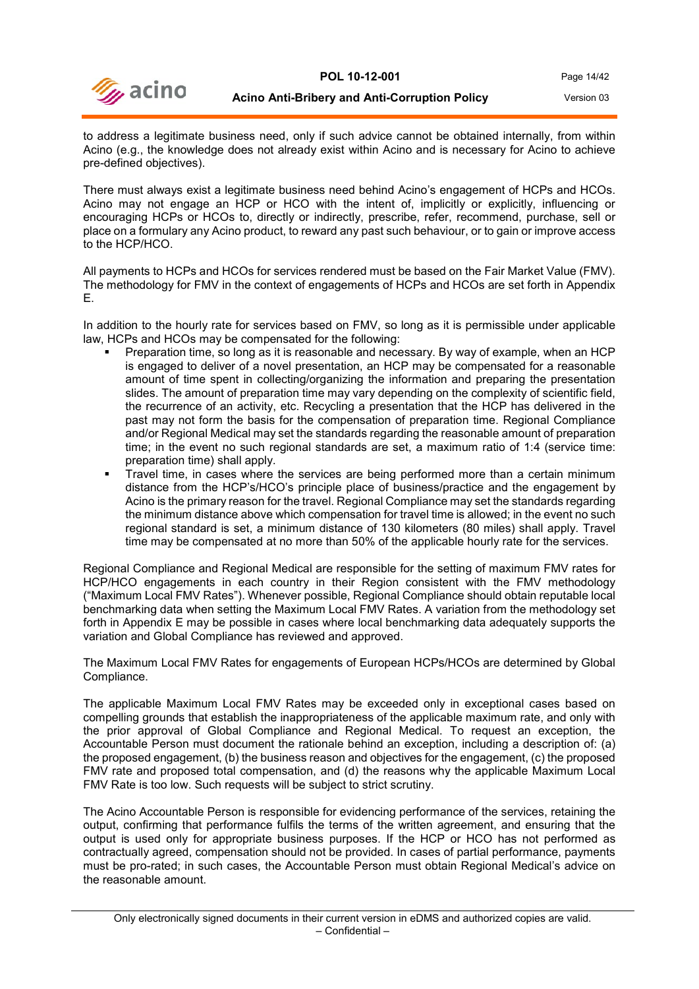

to address a legitimate business need, only if such advice cannot be obtained internally, from within Acino (e.g., the knowledge does not already exist within Acino and is necessary for Acino to achieve pre-defined objectives).

There must always exist a legitimate business need behind Acino's engagement of HCPs and HCOs. Acino may not engage an HCP or HCO with the intent of, implicitly or explicitly, influencing or encouraging HCPs or HCOs to, directly or indirectly, prescribe, refer, recommend, purchase, sell or place on a formulary any Acino product, to reward any past such behaviour, or to gain or improve access to the HCP/HCO.

All payments to HCPs and HCOs for services rendered must be based on the Fair Market Value (FMV). The methodology for FMV in the context of engagements of HCPs and HCOs are set forth in Appendix E.

In addition to the hourly rate for services based on FMV, so long as it is permissible under applicable law, HCPs and HCOs may be compensated for the following:

- Preparation time, so long as it is reasonable and necessary. By way of example, when an HCP is engaged to deliver of a novel presentation, an HCP may be compensated for a reasonable amount of time spent in collecting/organizing the information and preparing the presentation slides. The amount of preparation time may vary depending on the complexity of scientific field, the recurrence of an activity, etc. Recycling a presentation that the HCP has delivered in the past may not form the basis for the compensation of preparation time. Regional Compliance and/or Regional Medical may set the standards regarding the reasonable amount of preparation time; in the event no such regional standards are set, a maximum ratio of 1:4 (service time: preparation time) shall apply.
- Travel time, in cases where the services are being performed more than a certain minimum distance from the HCP's/HCO's principle place of business/practice and the engagement by Acino is the primary reason for the travel. Regional Compliance may set the standards regarding the minimum distance above which compensation for travel time is allowed; in the event no such regional standard is set, a minimum distance of 130 kilometers (80 miles) shall apply. Travel time may be compensated at no more than 50% of the applicable hourly rate for the services.

Regional Compliance and Regional Medical are responsible for the setting of maximum FMV rates for HCP/HCO engagements in each country in their Region consistent with the FMV methodology ("Maximum Local FMV Rates"). Whenever possible, Regional Compliance should obtain reputable local benchmarking data when setting the Maximum Local FMV Rates. A variation from the methodology set forth in Appendix E may be possible in cases where local benchmarking data adequately supports the variation and Global Compliance has reviewed and approved.

The Maximum Local FMV Rates for engagements of European HCPs/HCOs are determined by Global Compliance.

The applicable Maximum Local FMV Rates may be exceeded only in exceptional cases based on compelling grounds that establish the inappropriateness of the applicable maximum rate, and only with the prior approval of Global Compliance and Regional Medical. To request an exception, the Accountable Person must document the rationale behind an exception, including a description of: (a) the proposed engagement, (b) the business reason and objectives for the engagement, (c) the proposed FMV rate and proposed total compensation, and (d) the reasons why the applicable Maximum Local FMV Rate is too low. Such requests will be subject to strict scrutiny.

The Acino Accountable Person is responsible for evidencing performance of the services, retaining the output, confirming that performance fulfils the terms of the written agreement, and ensuring that the output is used only for appropriate business purposes. If the HCP or HCO has not performed as contractually agreed, compensation should not be provided. In cases of partial performance, payments must be pro-rated; in such cases, the Accountable Person must obtain Regional Medical's advice on the reasonable amount.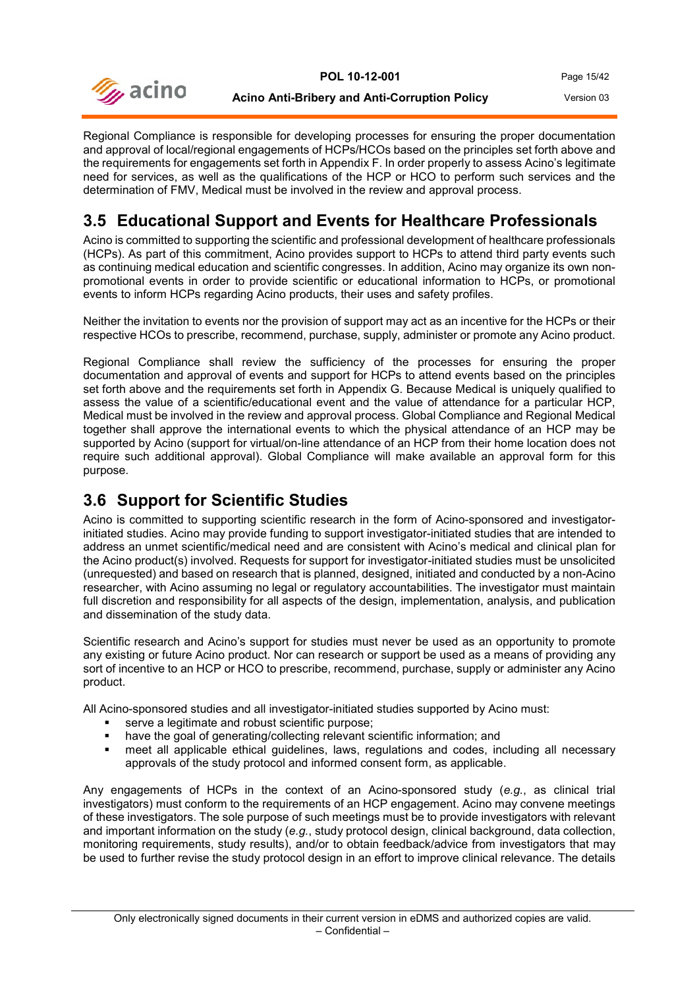

Regional Compliance is responsible for developing processes for ensuring the proper documentation and approval of local/regional engagements of HCPs/HCOs based on the principles set forth above and the requirements for engagements set forth in Appendix F. In order properly to assess Acino's legitimate need for services, as well as the qualifications of the HCP or HCO to perform such services and the determination of FMV, Medical must be involved in the review and approval process.

## <span id="page-14-0"></span>**3.5 Educational Support and Events for Healthcare Professionals**

Acino is committed to supporting the scientific and professional development of healthcare professionals (HCPs). As part of this commitment, Acino provides support to HCPs to attend third party events such as continuing medical education and scientific congresses. In addition, Acino may organize its own nonpromotional events in order to provide scientific or educational information to HCPs, or promotional events to inform HCPs regarding Acino products, their uses and safety profiles.

Neither the invitation to events nor the provision of support may act as an incentive for the HCPs or their respective HCOs to prescribe, recommend, purchase, supply, administer or promote any Acino product.

Regional Compliance shall review the sufficiency of the processes for ensuring the proper documentation and approval of events and support for HCPs to attend events based on the principles set forth above and the requirements set forth in Appendix G. Because Medical is uniquely qualified to assess the value of a scientific/educational event and the value of attendance for a particular HCP, Medical must be involved in the review and approval process. Global Compliance and Regional Medical together shall approve the international events to which the physical attendance of an HCP may be supported by Acino (support for virtual/on-line attendance of an HCP from their home location does not require such additional approval). Global Compliance will make available an approval form for this purpose.

## <span id="page-14-1"></span>**3.6 Support for Scientific Studies**

Acino is committed to supporting scientific research in the form of Acino-sponsored and investigatorinitiated studies. Acino may provide funding to support investigator-initiated studies that are intended to address an unmet scientific/medical need and are consistent with Acino's medical and clinical plan for the Acino product(s) involved. Requests for support for investigator-initiated studies must be unsolicited (unrequested) and based on research that is planned, designed, initiated and conducted by a non-Acino researcher, with Acino assuming no legal or regulatory accountabilities. The investigator must maintain full discretion and responsibility for all aspects of the design, implementation, analysis, and publication and dissemination of the study data.

Scientific research and Acino's support for studies must never be used as an opportunity to promote any existing or future Acino product. Nor can research or support be used as a means of providing any sort of incentive to an HCP or HCO to prescribe, recommend, purchase, supply or administer any Acino product.

All Acino-sponsored studies and all investigator-initiated studies supported by Acino must:

- **serve a legitimate and robust scientific purpose;**
- have the goal of generating/collecting relevant scientific information; and
- meet all applicable ethical guidelines, laws, regulations and codes, including all necessary approvals of the study protocol and informed consent form, as applicable.

Any engagements of HCPs in the context of an Acino-sponsored study (*e.g.*, as clinical trial investigators) must conform to the requirements of an HCP engagement. Acino may convene meetings of these investigators. The sole purpose of such meetings must be to provide investigators with relevant and important information on the study (*e.g.*, study protocol design, clinical background, data collection, monitoring requirements, study results), and/or to obtain feedback/advice from investigators that may be used to further revise the study protocol design in an effort to improve clinical relevance. The details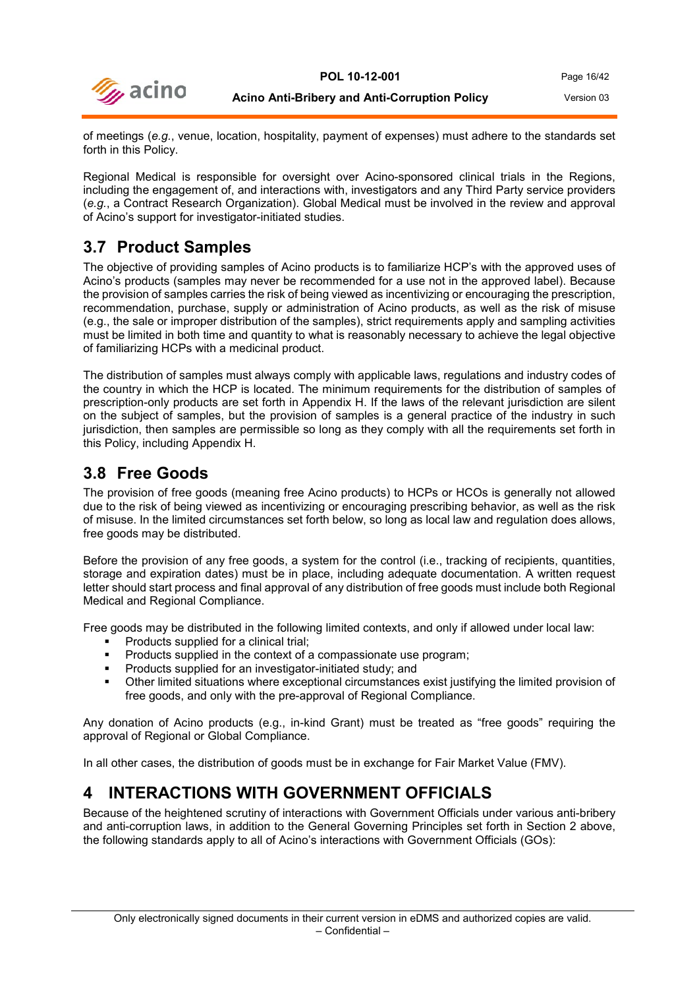

of meetings (*e.g.*, venue, location, hospitality, payment of expenses) must adhere to the standards set forth in this Policy.

Regional Medical is responsible for oversight over Acino-sponsored clinical trials in the Regions, including the engagement of, and interactions with, investigators and any Third Party service providers (*e.g.*, a Contract Research Organization). Global Medical must be involved in the review and approval of Acino's support for investigator-initiated studies.

## <span id="page-15-0"></span>**3.7 Product Samples**

The objective of providing samples of Acino products is to familiarize HCP's with the approved uses of Acino's products (samples may never be recommended for a use not in the approved label). Because the provision of samples carries the risk of being viewed as incentivizing or encouraging the prescription, recommendation, purchase, supply or administration of Acino products, as well as the risk of misuse (e.g., the sale or improper distribution of the samples), strict requirements apply and sampling activities must be limited in both time and quantity to what is reasonably necessary to achieve the legal objective of familiarizing HCPs with a medicinal product.

The distribution of samples must always comply with applicable laws, regulations and industry codes of the country in which the HCP is located. The minimum requirements for the distribution of samples of prescription-only products are set forth in Appendix H. If the laws of the relevant jurisdiction are silent on the subject of samples, but the provision of samples is a general practice of the industry in such jurisdiction, then samples are permissible so long as they comply with all the requirements set forth in this Policy, including Appendix H.

## <span id="page-15-1"></span>**3.8 Free Goods**

The provision of free goods (meaning free Acino products) to HCPs or HCOs is generally not allowed due to the risk of being viewed as incentivizing or encouraging prescribing behavior, as well as the risk of misuse. In the limited circumstances set forth below, so long as local law and regulation does allows, free goods may be distributed.

Before the provision of any free goods, a system for the control (i.e., tracking of recipients, quantities, storage and expiration dates) must be in place, including adequate documentation. A written request letter should start process and final approval of any distribution of free goods must include both Regional Medical and Regional Compliance.

Free goods may be distributed in the following limited contexts, and only if allowed under local law:

- Products supplied for a clinical trial;
- Products supplied in the context of a compassionate use program;
- **Products supplied for an investigator-initiated study; and**
- Other limited situations where exceptional circumstances exist justifying the limited provision of free goods, and only with the pre-approval of Regional Compliance.

Any donation of Acino products (e.g., in-kind Grant) must be treated as "free goods" requiring the approval of Regional or Global Compliance.

<span id="page-15-2"></span>In all other cases, the distribution of goods must be in exchange for Fair Market Value (FMV).

## **4 INTERACTIONS WITH GOVERNMENT OFFICIALS**

Because of the heightened scrutiny of interactions with Government Officials under various anti-bribery and anti-corruption laws, in addition to the General Governing Principles set forth in Section 2 above, the following standards apply to all of Acino's interactions with Government Officials (GOs):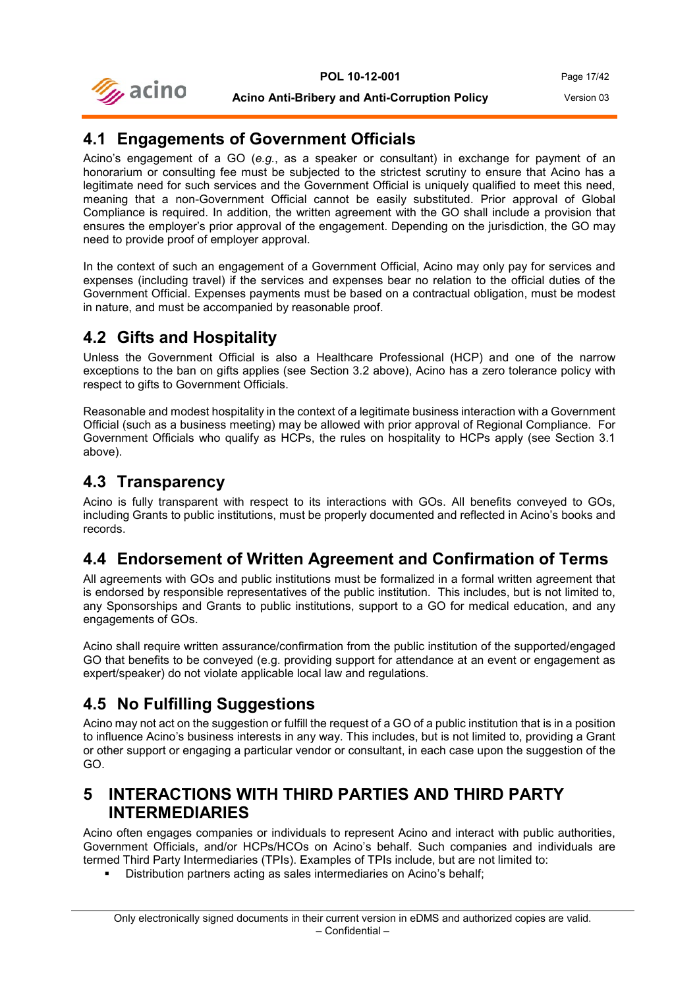

## <span id="page-16-0"></span>**4.1 Engagements of Government Officials**

Acino's engagement of a GO (*e.g.*, as a speaker or consultant) in exchange for payment of an honorarium or consulting fee must be subjected to the strictest scrutiny to ensure that Acino has a legitimate need for such services and the Government Official is uniquely qualified to meet this need, meaning that a non-Government Official cannot be easily substituted. Prior approval of Global Compliance is required. In addition, the written agreement with the GO shall include a provision that ensures the employer's prior approval of the engagement. Depending on the jurisdiction, the GO may need to provide proof of employer approval.

In the context of such an engagement of a Government Official, Acino may only pay for services and expenses (including travel) if the services and expenses bear no relation to the official duties of the Government Official. Expenses payments must be based on a contractual obligation, must be modest in nature, and must be accompanied by reasonable proof.

## <span id="page-16-1"></span>**4.2 Gifts and Hospitality**

Unless the Government Official is also a Healthcare Professional (HCP) and one of the narrow exceptions to the ban on gifts applies (see Section 3.2 above), Acino has a zero tolerance policy with respect to gifts to Government Officials.

Reasonable and modest hospitality in the context of a legitimate business interaction with a Government Official (such as a business meeting) may be allowed with prior approval of Regional Compliance. For Government Officials who qualify as HCPs, the rules on hospitality to HCPs apply (see Section 3.1 above).

### <span id="page-16-2"></span>**4.3 Transparency**

Acino is fully transparent with respect to its interactions with GOs. All benefits conveyed to GOs, including Grants to public institutions, must be properly documented and reflected in Acino's books and records.

## <span id="page-16-3"></span>**4.4 Endorsement of Written Agreement and Confirmation of Terms**

All agreements with GOs and public institutions must be formalized in a formal written agreement that is endorsed by responsible representatives of the public institution. This includes, but is not limited to, any Sponsorships and Grants to public institutions, support to a GO for medical education, and any engagements of GOs.

Acino shall require written assurance/confirmation from the public institution of the supported/engaged GO that benefits to be conveyed (e.g. providing support for attendance at an event or engagement as expert/speaker) do not violate applicable local law and regulations.

## <span id="page-16-4"></span>**4.5 No Fulfilling Suggestions**

Acino may not act on the suggestion or fulfill the request of a GO of a public institution that is in a position to influence Acino's business interests in any way. This includes, but is not limited to, providing a Grant or other support or engaging a particular vendor or consultant, in each case upon the suggestion of the GO.

## <span id="page-16-5"></span>**5 INTERACTIONS WITH THIRD PARTIES AND THIRD PARTY INTERMEDIARIES**

Acino often engages companies or individuals to represent Acino and interact with public authorities, Government Officials, and/or HCPs/HCOs on Acino's behalf. Such companies and individuals are termed Third Party Intermediaries (TPIs). Examples of TPIs include, but are not limited to:

Distribution partners acting as sales intermediaries on Acino's behalf;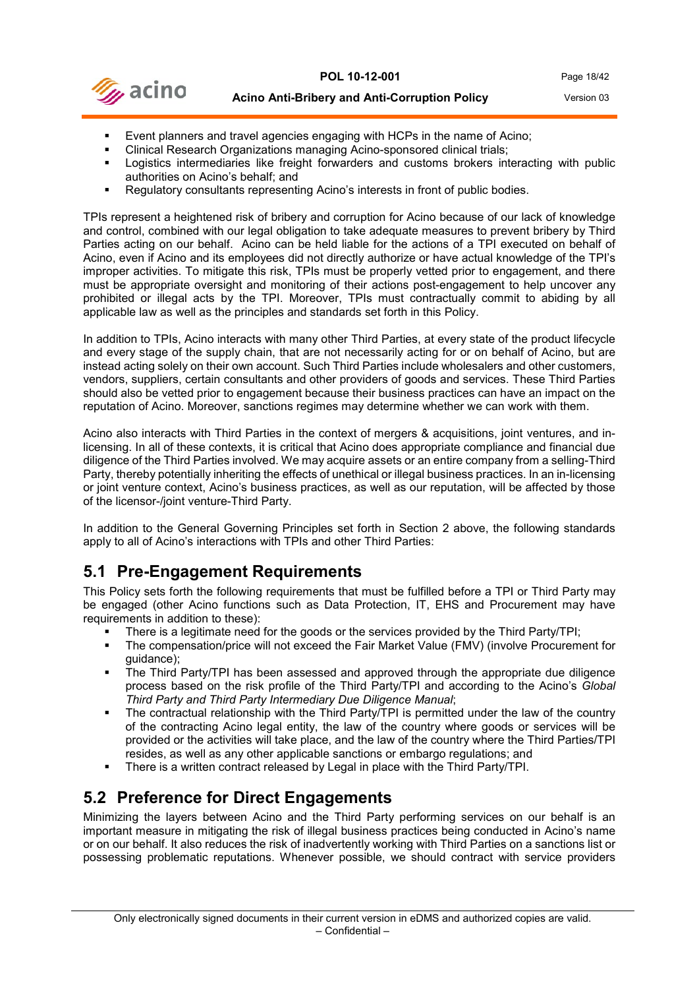

- Event planners and travel agencies engaging with HCPs in the name of Acino;
- Clinical Research Organizations managing Acino-sponsored clinical trials;
- Logistics intermediaries like freight forwarders and customs brokers interacting with public authorities on Acino's behalf; and
- Regulatory consultants representing Acino's interests in front of public bodies.

TPIs represent a heightened risk of bribery and corruption for Acino because of our lack of knowledge and control, combined with our legal obligation to take adequate measures to prevent bribery by Third Parties acting on our behalf. Acino can be held liable for the actions of a TPI executed on behalf of Acino, even if Acino and its employees did not directly authorize or have actual knowledge of the TPI's improper activities. To mitigate this risk, TPIs must be properly vetted prior to engagement, and there must be appropriate oversight and monitoring of their actions post-engagement to help uncover any prohibited or illegal acts by the TPI. Moreover, TPIs must contractually commit to abiding by all applicable law as well as the principles and standards set forth in this Policy.

In addition to TPIs, Acino interacts with many other Third Parties, at every state of the product lifecycle and every stage of the supply chain, that are not necessarily acting for or on behalf of Acino, but are instead acting solely on their own account. Such Third Parties include wholesalers and other customers, vendors, suppliers, certain consultants and other providers of goods and services. These Third Parties should also be vetted prior to engagement because their business practices can have an impact on the reputation of Acino. Moreover, sanctions regimes may determine whether we can work with them.

Acino also interacts with Third Parties in the context of mergers & acquisitions, joint ventures, and inlicensing. In all of these contexts, it is critical that Acino does appropriate compliance and financial due diligence of the Third Parties involved. We may acquire assets or an entire company from a selling-Third Party, thereby potentially inheriting the effects of unethical or illegal business practices. In an in-licensing or joint venture context, Acino's business practices, as well as our reputation, will be affected by those of the licensor-/joint venture-Third Party.

In addition to the General Governing Principles set forth in Section 2 above, the following standards apply to all of Acino's interactions with TPIs and other Third Parties:

#### <span id="page-17-0"></span>**5.1 Pre-Engagement Requirements**

This Policy sets forth the following requirements that must be fulfilled before a TPI or Third Party may be engaged (other Acino functions such as Data Protection, IT, EHS and Procurement may have requirements in addition to these):

- There is a legitimate need for the goods or the services provided by the Third Party/TPI;
- The compensation/price will not exceed the Fair Market Value (FMV) (involve Procurement for guidance);
- The Third Party/TPI has been assessed and approved through the appropriate due diligence process based on the risk profile of the Third Party/TPI and according to the Acino's *Global Third Party and Third Party Intermediary Due Diligence Manual*;
- The contractual relationship with the Third Party/TPI is permitted under the law of the country of the contracting Acino legal entity, the law of the country where goods or services will be provided or the activities will take place, and the law of the country where the Third Parties/TPI resides, as well as any other applicable sanctions or embargo regulations; and
- There is a written contract released by Legal in place with the Third Party/TPI.

## <span id="page-17-1"></span>**5.2 Preference for Direct Engagements**

Minimizing the layers between Acino and the Third Party performing services on our behalf is an important measure in mitigating the risk of illegal business practices being conducted in Acino's name or on our behalf. It also reduces the risk of inadvertently working with Third Parties on a sanctions list or possessing problematic reputations. Whenever possible, we should contract with service providers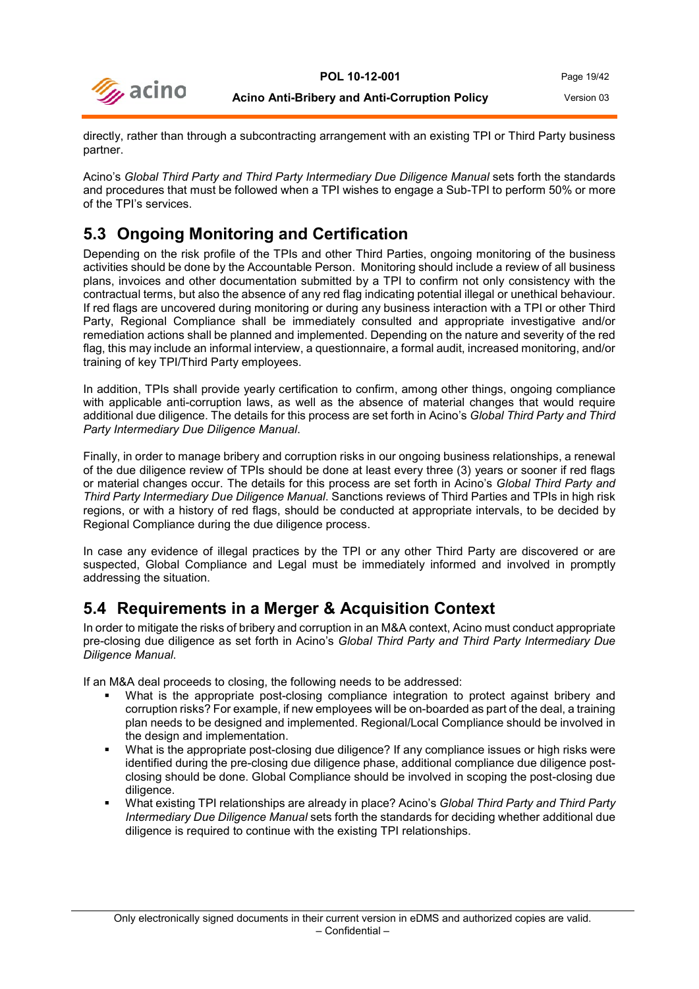

directly, rather than through a subcontracting arrangement with an existing TPI or Third Party business partner.

Acino's *Global Third Party and Third Party Intermediary Due Diligence Manual* sets forth the standards and procedures that must be followed when a TPI wishes to engage a Sub-TPI to perform 50% or more of the TPI's services.

## <span id="page-18-0"></span>**5.3 Ongoing Monitoring and Certification**

Depending on the risk profile of the TPIs and other Third Parties, ongoing monitoring of the business activities should be done by the Accountable Person. Monitoring should include a review of all business plans, invoices and other documentation submitted by a TPI to confirm not only consistency with the contractual terms, but also the absence of any red flag indicating potential illegal or unethical behaviour. If red flags are uncovered during monitoring or during any business interaction with a TPI or other Third Party, Regional Compliance shall be immediately consulted and appropriate investigative and/or remediation actions shall be planned and implemented. Depending on the nature and severity of the red flag, this may include an informal interview, a questionnaire, a formal audit, increased monitoring, and/or training of key TPI/Third Party employees.

In addition, TPIs shall provide yearly certification to confirm, among other things, ongoing compliance with applicable anti-corruption laws, as well as the absence of material changes that would require additional due diligence. The details for this process are set forth in Acino's *Global Third Party and Third Party Intermediary Due Diligence Manual*.

Finally, in order to manage bribery and corruption risks in our ongoing business relationships, a renewal of the due diligence review of TPIs should be done at least every three (3) years or sooner if red flags or material changes occur. The details for this process are set forth in Acino's *Global Third Party and Third Party Intermediary Due Diligence Manual*. Sanctions reviews of Third Parties and TPIs in high risk regions, or with a history of red flags, should be conducted at appropriate intervals, to be decided by Regional Compliance during the due diligence process.

In case any evidence of illegal practices by the TPI or any other Third Party are discovered or are suspected, Global Compliance and Legal must be immediately informed and involved in promptly addressing the situation.

## <span id="page-18-1"></span>**5.4 Requirements in a Merger & Acquisition Context**

In order to mitigate the risks of bribery and corruption in an M&A context, Acino must conduct appropriate pre-closing due diligence as set forth in Acino's *Global Third Party and Third Party Intermediary Due Diligence Manual*.

If an M&A deal proceeds to closing, the following needs to be addressed:

- What is the appropriate post-closing compliance integration to protect against bribery and corruption risks? For example, if new employees will be on-boarded as part of the deal, a training plan needs to be designed and implemented. Regional/Local Compliance should be involved in the design and implementation.
- What is the appropriate post-closing due diligence? If any compliance issues or high risks were identified during the pre-closing due diligence phase, additional compliance due diligence postclosing should be done. Global Compliance should be involved in scoping the post-closing due diligence.
- What existing TPI relationships are already in place? Acino's *Global Third Party and Third Party Intermediary Due Diligence Manual* sets forth the standards for deciding whether additional due diligence is required to continue with the existing TPI relationships.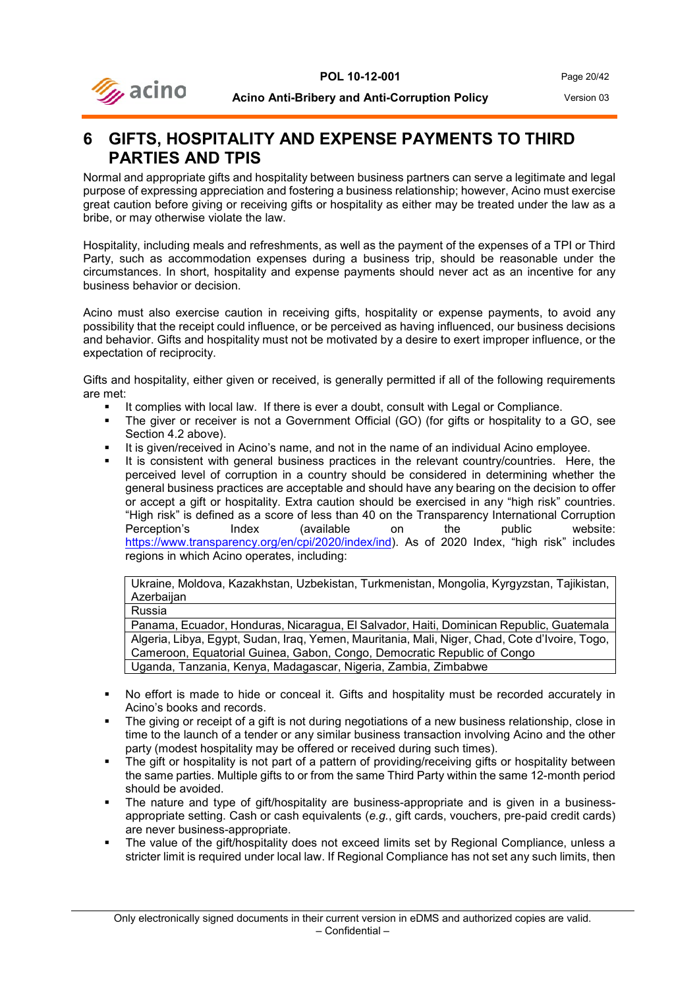



## <span id="page-19-0"></span>**6 GIFTS, HOSPITALITY AND EXPENSE PAYMENTS TO THIRD PARTIES AND TPIS**

Normal and appropriate gifts and hospitality between business partners can serve a legitimate and legal purpose of expressing appreciation and fostering a business relationship; however, Acino must exercise great caution before giving or receiving gifts or hospitality as either may be treated under the law as a bribe, or may otherwise violate the law.

Hospitality, including meals and refreshments, as well as the payment of the expenses of a TPI or Third Party, such as accommodation expenses during a business trip, should be reasonable under the circumstances. In short, hospitality and expense payments should never act as an incentive for any business behavior or decision.

Acino must also exercise caution in receiving gifts, hospitality or expense payments, to avoid any possibility that the receipt could influence, or be perceived as having influenced, our business decisions and behavior. Gifts and hospitality must not be motivated by a desire to exert improper influence, or the expectation of reciprocity.

Gifts and hospitality, either given or received, is generally permitted if all of the following requirements are met:

- **If complies with local law. If there is ever a doubt, consult with Legal or Compliance.**
- The giver or receiver is not a Government Official (GO) (for gifts or hospitality to a GO, see Section 4.2 above).
- It is given/received in Acino's name, and not in the name of an individual Acino employee.
- It is consistent with general business practices in the relevant country/countries. Here, the perceived level of corruption in a country should be considered in determining whether the general business practices are acceptable and should have any bearing on the decision to offer or accept a gift or hospitality. Extra caution should be exercised in any "high risk" countries. "High risk" is defined as a score of less than 40 on the Transparency International Corruption<br>Perception's lindex (available on the public website: Perception's [https://www.transparency.org/en/cpi/2020/index/ind\)](https://www.transparency.org/en/cpi/2020/index/ind). As of 2020 Index, "high risk" includes regions in which Acino operates, including:

Ukraine, Moldova, Kazakhstan, Uzbekistan, Turkmenistan, Mongolia, Kyrgyzstan, Tajikistan, **Azerbaijan** 

Russia

Panama, Ecuador, Honduras, Nicaragua, El Salvador, Haiti, Dominican Republic, Guatemala Algeria, Libya, Egypt, Sudan, Iraq, Yemen, Mauritania, Mali, Niger, Chad, Cote d'Ivoire, Togo, Cameroon, Equatorial Guinea, Gabon, Congo, Democratic Republic of Congo Uganda, Tanzania, Kenya, Madagascar, Nigeria, Zambia, Zimbabwe

- No effort is made to hide or conceal it. Gifts and hospitality must be recorded accurately in Acino's books and records.
- The giving or receipt of a gift is not during negotiations of a new business relationship, close in time to the launch of a tender or any similar business transaction involving Acino and the other party (modest hospitality may be offered or received during such times).
- The gift or hospitality is not part of a pattern of providing/receiving gifts or hospitality between the same parties. Multiple gifts to or from the same Third Party within the same 12-month period should be avoided.
- The nature and type of gift/hospitality are business-appropriate and is given in a businessappropriate setting. Cash or cash equivalents (*e.g.*, gift cards, vouchers, pre-paid credit cards) are never business-appropriate.
- The value of the gift/hospitality does not exceed limits set by Regional Compliance, unless a stricter limit is required under local law. If Regional Compliance has not set any such limits, then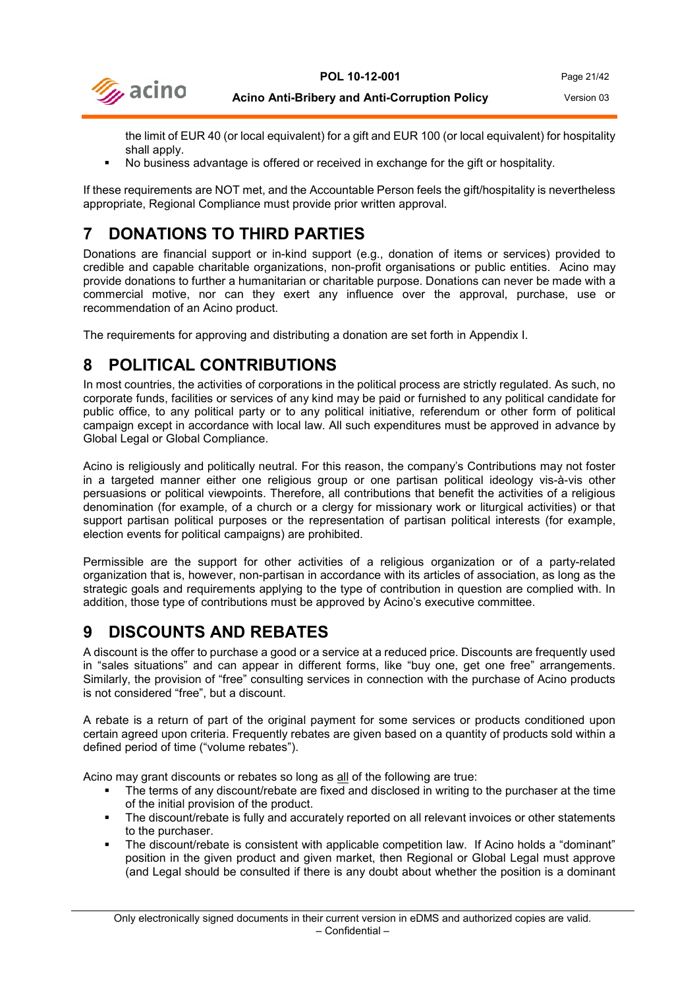

the limit of EUR 40 (or local equivalent) for a gift and EUR 100 (or local equivalent) for hospitality shall apply.

No business advantage is offered or received in exchange for the gift or hospitality.

If these requirements are NOT met, and the Accountable Person feels the gift/hospitality is nevertheless appropriate, Regional Compliance must provide prior written approval.

## <span id="page-20-0"></span>**7 DONATIONS TO THIRD PARTIES**

Donations are financial support or in-kind support (e.g., donation of items or services) provided to credible and capable charitable organizations, non-profit organisations or public entities. Acino may provide donations to further a humanitarian or charitable purpose. Donations can never be made with a commercial motive, nor can they exert any influence over the approval, purchase, use or recommendation of an Acino product.

<span id="page-20-1"></span>The requirements for approving and distributing a donation are set forth in Appendix I.

## **8 POLITICAL CONTRIBUTIONS**

In most countries, the activities of corporations in the political process are strictly regulated. As such, no corporate funds, facilities or services of any kind may be paid or furnished to any political candidate for public office, to any political party or to any political initiative, referendum or other form of political campaign except in accordance with local law. All such expenditures must be approved in advance by Global Legal or Global Compliance.

Acino is religiously and politically neutral. For this reason, the company's Contributions may not foster in a targeted manner either one religious group or one partisan political ideology vis-à-vis other persuasions or political viewpoints. Therefore, all contributions that benefit the activities of a religious denomination (for example, of a church or a clergy for missionary work or liturgical activities) or that support partisan political purposes or the representation of partisan political interests (for example, election events for political campaigns) are prohibited.

Permissible are the support for other activities of a religious organization or of a party-related organization that is, however, non-partisan in accordance with its articles of association, as long as the strategic goals and requirements applying to the type of contribution in question are complied with. In addition, those type of contributions must be approved by Acino's executive committee.

## <span id="page-20-2"></span>**9 DISCOUNTS AND REBATES**

A discount is the offer to purchase a good or a service at a reduced price. Discounts are frequently used in "sales situations" and can appear in different forms, like "buy one, get one free" arrangements. Similarly, the provision of "free" consulting services in connection with the purchase of Acino products is not considered "free", but a discount.

A rebate is a return of part of the original payment for some services or products conditioned upon certain agreed upon criteria. Frequently rebates are given based on a quantity of products sold within a defined period of time ("volume rebates").

Acino may grant discounts or rebates so long as all of the following are true:

- The terms of any discount/rebate are fixed and disclosed in writing to the purchaser at the time of the initial provision of the product.
- The discount/rebate is fully and accurately reported on all relevant invoices or other statements to the purchaser.
- The discount/rebate is consistent with applicable competition law. If Acino holds a "dominant" position in the given product and given market, then Regional or Global Legal must approve (and Legal should be consulted if there is any doubt about whether the position is a dominant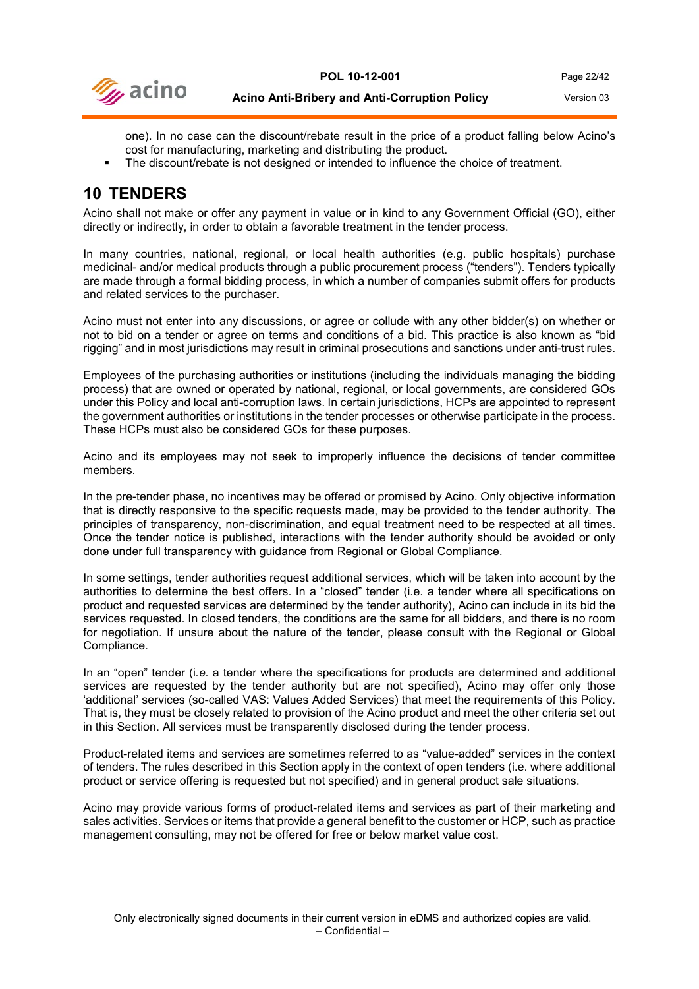

one). In no case can the discount/rebate result in the price of a product falling below Acino's cost for manufacturing, marketing and distributing the product.

The discount/rebate is not designed or intended to influence the choice of treatment.

## <span id="page-21-0"></span>**10 TENDERS**

Acino shall not make or offer any payment in value or in kind to any Government Official (GO), either directly or indirectly, in order to obtain a favorable treatment in the tender process.

In many countries, national, regional, or local health authorities (e.g. public hospitals) purchase medicinal- and/or medical products through a public procurement process ("tenders"). Tenders typically are made through a formal bidding process, in which a number of companies submit offers for products and related services to the purchaser.

Acino must not enter into any discussions, or agree or collude with any other bidder(s) on whether or not to bid on a tender or agree on terms and conditions of a bid. This practice is also known as "bid rigging" and in most jurisdictions may result in criminal prosecutions and sanctions under anti-trust rules.

Employees of the purchasing authorities or institutions (including the individuals managing the bidding process) that are owned or operated by national, regional, or local governments, are considered GOs under this Policy and local anti-corruption laws. In certain jurisdictions, HCPs are appointed to represent the government authorities or institutions in the tender processes or otherwise participate in the process. These HCPs must also be considered GOs for these purposes.

Acino and its employees may not seek to improperly influence the decisions of tender committee members.

In the pre-tender phase, no incentives may be offered or promised by Acino. Only objective information that is directly responsive to the specific requests made, may be provided to the tender authority. The principles of transparency, non-discrimination, and equal treatment need to be respected at all times. Once the tender notice is published, interactions with the tender authority should be avoided or only done under full transparency with guidance from Regional or Global Compliance.

In some settings, tender authorities request additional services, which will be taken into account by the authorities to determine the best offers. In a "closed" tender (i.e. a tender where all specifications on product and requested services are determined by the tender authority), Acino can include in its bid the services requested. In closed tenders, the conditions are the same for all bidders, and there is no room for negotiation. If unsure about the nature of the tender, please consult with the Regional or Global Compliance.

In an "open" tender (i*.e.* a tender where the specifications for products are determined and additional services are requested by the tender authority but are not specified), Acino may offer only those 'additional' services (so-called VAS: Values Added Services) that meet the requirements of this Policy. That is, they must be closely related to provision of the Acino product and meet the other criteria set out in this Section. All services must be transparently disclosed during the tender process.

Product-related items and services are sometimes referred to as "value-added" services in the context of tenders. The rules described in this Section apply in the context of open tenders (i.e. where additional product or service offering is requested but not specified) and in general product sale situations.

Acino may provide various forms of product-related items and services as part of their marketing and sales activities. Services or items that provide a general benefit to the customer or HCP, such as practice management consulting, may not be offered for free or below market value cost.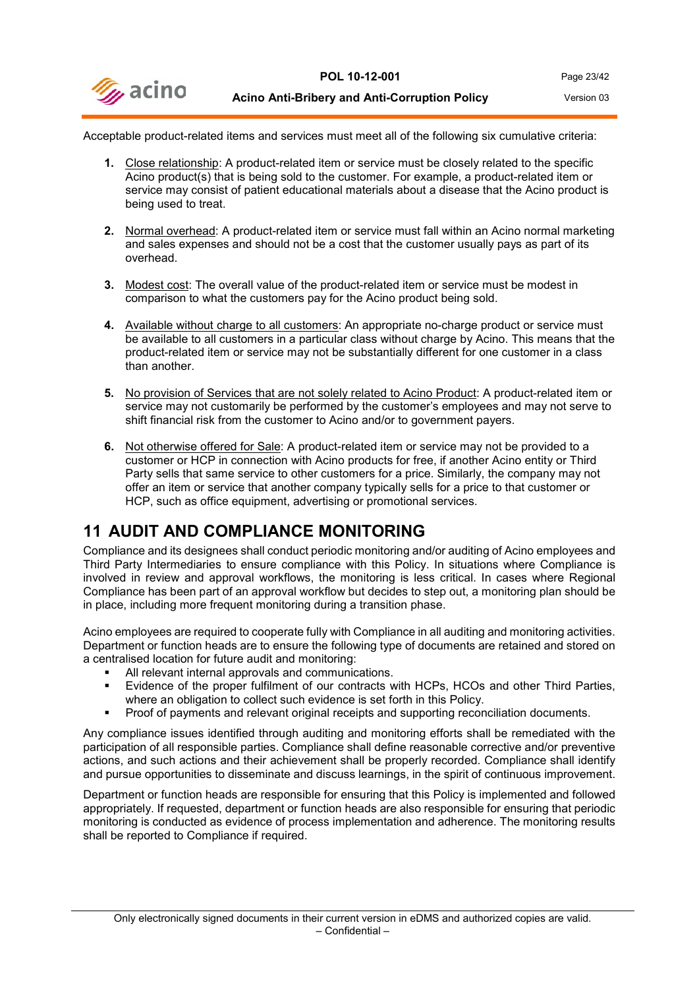

Acceptable product-related items and services must meet all of the following six cumulative criteria:

- **1.** Close relationship: A product-related item or service must be closely related to the specific Acino product(s) that is being sold to the customer. For example, a product-related item or service may consist of patient educational materials about a disease that the Acino product is being used to treat.
- **2.** Normal overhead: A product-related item or service must fall within an Acino normal marketing and sales expenses and should not be a cost that the customer usually pays as part of its overhead.
- **3.** Modest cost: The overall value of the product-related item or service must be modest in comparison to what the customers pay for the Acino product being sold.
- **4.** Available without charge to all customers: An appropriate no-charge product or service must be available to all customers in a particular class without charge by Acino. This means that the product-related item or service may not be substantially different for one customer in a class than another.
- **5.** No provision of Services that are not solely related to Acino Product: A product-related item or service may not customarily be performed by the customer's employees and may not serve to shift financial risk from the customer to Acino and/or to government payers.
- **6.** Not otherwise offered for Sale: A product-related item or service may not be provided to a customer or HCP in connection with Acino products for free, if another Acino entity or Third Party sells that same service to other customers for a price. Similarly, the company may not offer an item or service that another company typically sells for a price to that customer or HCP, such as office equipment, advertising or promotional services.

## <span id="page-22-0"></span>**11 AUDIT AND COMPLIANCE MONITORING**

Compliance and its designees shall conduct periodic monitoring and/or auditing of Acino employees and Third Party Intermediaries to ensure compliance with this Policy. In situations where Compliance is involved in review and approval workflows, the monitoring is less critical. In cases where Regional Compliance has been part of an approval workflow but decides to step out, a monitoring plan should be in place, including more frequent monitoring during a transition phase.

Acino employees are required to cooperate fully with Compliance in all auditing and monitoring activities. Department or function heads are to ensure the following type of documents are retained and stored on a centralised location for future audit and monitoring:

- All relevant internal approvals and communications.
- Evidence of the proper fulfilment of our contracts with HCPs, HCOs and other Third Parties, where an obligation to collect such evidence is set forth in this Policy.
- Proof of payments and relevant original receipts and supporting reconciliation documents.

Any compliance issues identified through auditing and monitoring efforts shall be remediated with the participation of all responsible parties. Compliance shall define reasonable corrective and/or preventive actions, and such actions and their achievement shall be properly recorded. Compliance shall identify and pursue opportunities to disseminate and discuss learnings, in the spirit of continuous improvement.

Department or function heads are responsible for ensuring that this Policy is implemented and followed appropriately. If requested, department or function heads are also responsible for ensuring that periodic monitoring is conducted as evidence of process implementation and adherence. The monitoring results shall be reported to Compliance if required.